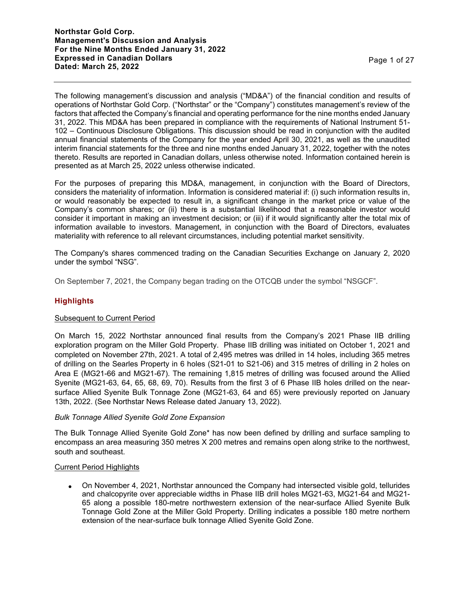The following management's discussion and analysis ("MD&A") of the financial condition and results of operations of Northstar Gold Corp. ("Northstar" or the "Company") constitutes management's review of the factors that affected the Company's financial and operating performance for the nine months ended January 31, 2022. This MD&A has been prepared in compliance with the requirements of National Instrument 51- 102 – Continuous Disclosure Obligations. This discussion should be read in conjunction with the audited annual financial statements of the Company for the year ended April 30, 2021, as well as the unaudited interim financial statements for the three and nine months ended January 31, 2022, together with the notes thereto. Results are reported in Canadian dollars, unless otherwise noted. Information contained herein is presented as at March 25, 2022 unless otherwise indicated.

For the purposes of preparing this MD&A, management, in conjunction with the Board of Directors, considers the materiality of information. Information is considered material if: (i) such information results in, or would reasonably be expected to result in, a significant change in the market price or value of the Company's common shares; or (ii) there is a substantial likelihood that a reasonable investor would consider it important in making an investment decision; or (iii) if it would significantly alter the total mix of information available to investors. Management, in conjunction with the Board of Directors, evaluates materiality with reference to all relevant circumstances, including potential market sensitivity.

The Company's shares commenced trading on the Canadian Securities Exchange on January 2, 2020 under the symbol "NSG".

On September 7, 2021, the Company began trading on the OTCQB under the symbol "NSGCF".

# **Highlights**

# Subsequent to Current Period

On March 15, 2022 Northstar announced final results from the Company's 2021 Phase IIB drilling exploration program on the Miller Gold Property. Phase IIB drilling was initiated on October 1, 2021 and completed on November 27th, 2021. A total of 2,495 metres was drilled in 14 holes, including 365 metres of drilling on the Searles Property in 6 holes (S21-01 to S21-06) and 315 metres of drilling in 2 holes on Area E (MG21-66 and MG21-67). The remaining 1,815 metres of drilling was focused around the Allied Syenite (MG21-63, 64, 65, 68, 69, 70). Results from the first 3 of 6 Phase IIB holes drilled on the nearsurface Allied Syenite Bulk Tonnage Zone (MG21-63, 64 and 65) were previously reported on January 13th, 2022. (See Northstar News Release dated January 13, 2022).

## *Bulk Tonnage Allied Syenite Gold Zone Expansion*

The Bulk Tonnage Allied Syenite Gold Zone\* has now been defined by drilling and surface sampling to encompass an area measuring 350 metres X 200 metres and remains open along strike to the northwest, south and southeast.

## Current Period Highlights

 On November 4, 2021, Northstar announced the Company had intersected visible gold, tellurides and chalcopyrite over appreciable widths in Phase IIB drill holes MG21-63, MG21-64 and MG21- 65 along a possible 180-metre northwestern extension of the near-surface Allied Syenite Bulk Tonnage Gold Zone at the Miller Gold Property. Drilling indicates a possible 180 metre northern extension of the near-surface bulk tonnage Allied Syenite Gold Zone.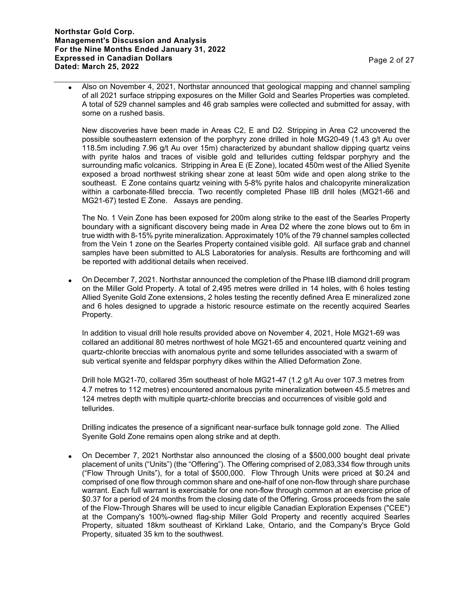Also on November 4, 2021, Northstar announced that geological mapping and channel sampling of all 2021 surface stripping exposures on the Miller Gold and Searles Properties was completed. A total of 529 channel samples and 46 grab samples were collected and submitted for assay, with some on a rushed basis.

New discoveries have been made in Areas C2, E and D2. Stripping in Area C2 uncovered the possible southeastern extension of the porphyry zone drilled in hole MG20-49 (1.43 g/t Au over 118.5m including 7.96 g/t Au over 15m) characterized by abundant shallow dipping quartz veins with pyrite halos and traces of visible gold and tellurides cutting feldspar porphyry and the surrounding mafic volcanics. Stripping in Area E (E Zone), located 450m west of the Allied Syenite exposed a broad northwest striking shear zone at least 50m wide and open along strike to the southeast. E Zone contains quartz veining with 5-8% pyrite halos and chalcopyrite mineralization within a carbonate-filled breccia. Two recently completed Phase IIB drill holes (MG21-66 and MG21-67) tested E Zone. Assays are pending.

The No. 1 Vein Zone has been exposed for 200m along strike to the east of the Searles Property boundary with a significant discovery being made in Area D2 where the zone blows out to 6m in true width with 8-15% pyrite mineralization. Approximately 10% of the 79 channel samples collected from the Vein 1 zone on the Searles Property contained visible gold. All surface grab and channel samples have been submitted to ALS Laboratories for analysis. Results are forthcoming and will be reported with additional details when received.

 On December 7, 2021. Northstar announced the completion of the Phase IIB diamond drill program on the Miller Gold Property. A total of 2,495 metres were drilled in 14 holes, with 6 holes testing Allied Syenite Gold Zone extensions, 2 holes testing the recently defined Area E mineralized zone and 6 holes designed to upgrade a historic resource estimate on the recently acquired Searles Property.

In addition to visual drill hole results provided above on November 4, 2021, Hole MG21-69 was collared an additional 80 metres northwest of hole MG21-65 and encountered quartz veining and quartz-chlorite breccias with anomalous pyrite and some tellurides associated with a swarm of sub vertical syenite and feldspar porphyry dikes within the Allied Deformation Zone.

Drill hole MG21-70, collared 35m southeast of hole MG21-47 (1.2 g/t Au over 107.3 metres from 4.7 metres to 112 metres) encountered anomalous pyrite mineralization between 45.5 metres and 124 metres depth with multiple quartz-chlorite breccias and occurrences of visible gold and tellurides.

Drilling indicates the presence of a significant near-surface bulk tonnage gold zone. The Allied Syenite Gold Zone remains open along strike and at depth.

 On December 7, 2021 Northstar also announced the closing of a \$500,000 bought deal private placement of units ("Units") (the "Offering"). The Offering comprised of 2,083,334 flow through units ("Flow Through Units"), for a total of \$500,000. Flow Through Units were priced at \$0.24 and comprised of one flow through common share and one-half of one non-flow through share purchase warrant. Each full warrant is exercisable for one non-flow through common at an exercise price of \$0.37 for a period of 24 months from the closing date of the Offering. Gross proceeds from the sale of the Flow-Through Shares will be used to incur eligible Canadian Exploration Expenses ("CEE") at the Company's 100%-owned flag-ship Miller Gold Property and recently acquired Searles Property, situated 18km southeast of Kirkland Lake, Ontario, and the Company's Bryce Gold Property, situated 35 km to the southwest.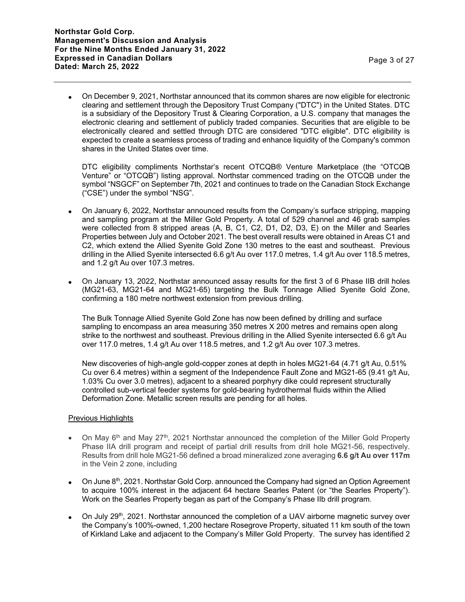On December 9, 2021, Northstar announced that its common shares are now eligible for electronic clearing and settlement through the Depository Trust Company ("DTC") in the United States. DTC is a subsidiary of the Depository Trust & Clearing Corporation, a U.S. company that manages the electronic clearing and settlement of publicly traded companies. Securities that are eligible to be electronically cleared and settled through DTC are considered "DTC eligible". DTC eligibility is expected to create a seamless process of trading and enhance liquidity of the Company's common shares in the United States over time.

DTC eligibility compliments Northstar's recent OTCQB® Venture Marketplace (the "OTCQB Venture" or "OTCQB") listing approval. Northstar commenced trading on the OTCQB under the symbol "NSGCF" on September 7th, 2021 and continues to trade on the Canadian Stock Exchange ("CSE") under the symbol "NSG".

- On January 6, 2022, Northstar announced results from the Company's surface stripping, mapping and sampling program at the Miller Gold Property. A total of 529 channel and 46 grab samples were collected from 8 stripped areas (A, B, C1, C2, D1, D2, D3, E) on the Miller and Searles Properties between July and October 2021. The best overall results were obtained in Areas C1 and C2, which extend the Allied Syenite Gold Zone 130 metres to the east and southeast. Previous drilling in the Allied Syenite intersected 6.6 g/t Au over 117.0 metres, 1.4 g/t Au over 118.5 metres, and 1.2 g/t Au over 107.3 metres.
- On January 13, 2022, Northstar announced assay results for the first 3 of 6 Phase IIB drill holes (MG21-63, MG21-64 and MG21-65) targeting the Bulk Tonnage Allied Syenite Gold Zone, confirming a 180 metre northwest extension from previous drilling.

The Bulk Tonnage Allied Syenite Gold Zone has now been defined by drilling and surface sampling to encompass an area measuring 350 metres X 200 metres and remains open along strike to the northwest and southeast. Previous drilling in the Allied Syenite intersected 6.6 g/t Au over 117.0 metres, 1.4 g/t Au over 118.5 metres, and 1.2 g/t Au over 107.3 metres.

New discoveries of high-angle gold-copper zones at depth in holes MG21-64 (4.71 g/t Au, 0.51% Cu over 6.4 metres) within a segment of the Independence Fault Zone and MG21-65 (9.41 g/t Au, 1.03% Cu over 3.0 metres), adjacent to a sheared porphyry dike could represent structurally controlled sub-vertical feeder systems for gold-bearing hydrothermal fluids within the Allied Deformation Zone. Metallic screen results are pending for all holes.

# Previous Highlights

- On May 6<sup>th</sup> and May 27<sup>th</sup>, 2021 Northstar announced the completion of the Miller Gold Property Phase IIA drill program and receipt of partial drill results from drill hole MG21-56, respectively. Results from drill hole MG21-56 defined a broad mineralized zone averaging **6.6 g/t Au over 117m** in the Vein 2 zone, including
- On June 8<sup>th</sup>, 2021. Northstar Gold Corp. announced the Company had signed an Option Agreement to acquire 100% interest in the adjacent 64 hectare Searles Patent (or "the Searles Property"). Work on the Searles Property began as part of the Company's Phase IIb drill program.
- On July 29<sup>th</sup>, 2021. Northstar announced the completion of a UAV airborne magnetic survey over the Company's 100%-owned, 1,200 hectare Rosegrove Property, situated 11 km south of the town of Kirkland Lake and adjacent to the Company's Miller Gold Property. The survey has identified 2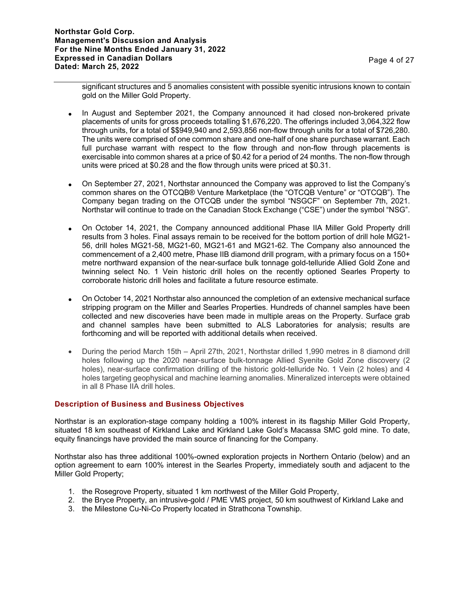significant structures and 5 anomalies consistent with possible syenitic intrusions known to contain gold on the Miller Gold Property.

- In August and September 2021, the Company announced it had closed non-brokered private placements of units for gross proceeds totalling \$1,676,220. The offerings included 3,064,322 flow through units, for a total of \$\$949,940 and 2,593,856 non-flow through units for a total of \$726,280. The units were comprised of one common share and one-half of one share purchase warrant. Each full purchase warrant with respect to the flow through and non-flow through placements is exercisable into common shares at a price of \$0.42 for a period of 24 months. The non-flow through units were priced at \$0.28 and the flow through units were priced at \$0.31.
- On September 27, 2021, Northstar announced the Company was approved to list the Company's common shares on the OTCQB® Venture Marketplace (the "OTCQB Venture" or "OTCQB"). The Company began trading on the OTCQB under the symbol "NSGCF" on September 7th, 2021. Northstar will continue to trade on the Canadian Stock Exchange ("CSE") under the symbol "NSG".
- On October 14, 2021, the Company announced additional Phase IIA Miller Gold Property drill results from 3 holes. Final assays remain to be received for the bottom portion of drill hole MG21- 56, drill holes MG21-58, MG21-60, MG21-61 and MG21-62. The Company also announced the commencement of a 2,400 metre, Phase IIB diamond drill program, with a primary focus on a 150+ metre northward expansion of the near-surface bulk tonnage gold-telluride Allied Gold Zone and twinning select No. 1 Vein historic drill holes on the recently optioned Searles Property to corroborate historic drill holes and facilitate a future resource estimate.
- On October 14, 2021 Northstar also announced the completion of an extensive mechanical surface stripping program on the Miller and Searles Properties. Hundreds of channel samples have been collected and new discoveries have been made in multiple areas on the Property. Surface grab and channel samples have been submitted to ALS Laboratories for analysis; results are forthcoming and will be reported with additional details when received.
- During the period March 15th April 27th, 2021, Northstar drilled 1,990 metres in 8 diamond drill holes following up the 2020 near-surface bulk-tonnage Allied Syenite Gold Zone discovery (2 holes), near-surface confirmation drilling of the historic gold-telluride No. 1 Vein (2 holes) and 4 holes targeting geophysical and machine learning anomalies. Mineralized intercepts were obtained in all 8 Phase IIA drill holes.

# **Description of Business and Business Objectives**

Northstar is an exploration-stage company holding a 100% interest in its flagship Miller Gold Property, situated 18 km southeast of Kirkland Lake and Kirkland Lake Gold's Macassa SMC gold mine. To date, equity financings have provided the main source of financing for the Company.

Northstar also has three additional 100%-owned exploration projects in Northern Ontario (below) and an option agreement to earn 100% interest in the Searles Property, immediately south and adjacent to the Miller Gold Property;

- 1. the Rosegrove Property, situated 1 km northwest of the Miller Gold Property,
- 2. the Bryce Property, an intrusive-gold / PME VMS project, 50 km southwest of Kirkland Lake and
- 3. the Milestone Cu-Ni-Co Property located in Strathcona Township.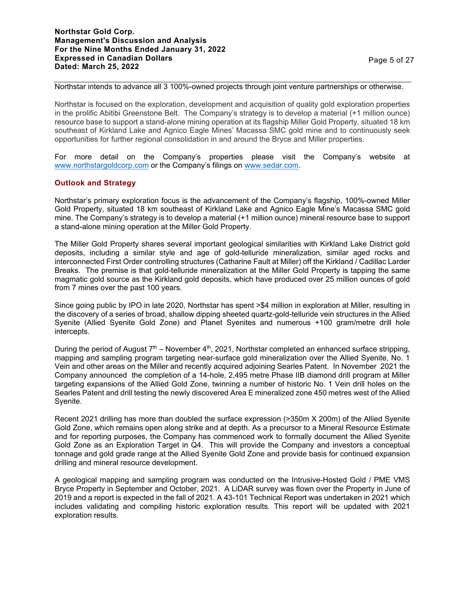## **Northstar Gold Corp. Management's Discussion and Analysis For the Nine Months Ended January 31, 2022 Expressed in Canadian Dollars Dated: March 25, 2022** Page 5 of 27

#### Northstar intends to advance all 3 100%-owned projects through joint venture partnerships or otherwise.

Northstar is focused on the exploration, development and acquisition of quality gold exploration properties in the prolific Abitibi Greenstone Belt. The Company's strategy is to develop a material (+1 million ounce) resource base to support a stand-alone mining operation at its flagship Miller Gold Property, situated 18 km southeast of Kirkland Lake and Agnico Eagle Mines' Macassa SMC gold mine and to continuously seek opportunities for further regional consolidation in and around the Bryce and Miller properties.

For more detail on the Company's properties please visit the Company's website at www.northstargoldcorp.com or the Company's filings on www.sedar.com.

## **Outlook and Strategy**

Northstar's primary exploration focus is the advancement of the Company's flagship, 100%-owned Miller Gold Property, situated 18 km southeast of Kirkland Lake and Agnico Eagle Mine's Macassa SMC gold mine. The Company's strategy is to develop a material (+1 million ounce) mineral resource base to support a stand-alone mining operation at the Miller Gold Property.

The Miller Gold Property shares several important geological similarities with Kirkland Lake District gold deposits, including a similar style and age of gold-telluride mineralization, similar aged rocks and interconnected First Order controlling structures (Catharine Fault at Miller) off the Kirkland / Cadillac Larder Breaks. The premise is that gold-telluride mineralization at the Miller Gold Property is tapping the same magmatic gold source as the Kirkland gold deposits, which have produced over 25 million ounces of gold from 7 mines over the past 100 years.

Since going public by IPO in late 2020, Northstar has spent >\$4 million in exploration at Miller, resulting in the discovery of a series of broad, shallow dipping sheeted quartz-gold-telluride vein structures in the Allied Syenite (Allied Syenite Gold Zone) and Planet Syenites and numerous +100 gram/metre drill hole intercepts.

During the period of August  $7<sup>th</sup>$  – November 4<sup>th</sup>, 2021, Northstar completed an enhanced surface stripping, mapping and sampling program targeting near-surface gold mineralization over the Allied Syenite, No. 1 Vein and other areas on the Miller and recently acquired adjoining Searles Patent. In November 2021 the Company announced the completion of a 14-hole, 2,495 metre Phase IIB diamond drill program at Miller targeting expansions of the Allied Gold Zone, twinning a number of historic No. 1 Vein drill holes on the Searles Patent and drill testing the newly discovered Area E mineralized zone 450 metres west of the Allied Syenite.

Recent 2021 drilling has more than doubled the surface expression (>350m X 200m) of the Allied Syenite Gold Zone, which remains open along strike and at depth. As a precursor to a Mineral Resource Estimate and for reporting purposes, the Company has commenced work to formally document the Allied Syenite Gold Zone as an Exploration Target in Q4. This will provide the Company and investors a conceptual tonnage and gold grade range at the Allied Syenite Gold Zone and provide basis for continued expansion drilling and mineral resource development.

A geological mapping and sampling program was conducted on the Intrusive-Hosted Gold / PME VMS Bryce Property in September and October, 2021. A LiDAR survey was flown over the Property in June of 2019 and a report is expected in the fall of 2021. A 43-101 Technical Report was undertaken in 2021 which includes validating and compiling historic exploration results. This report will be updated with 2021 exploration results.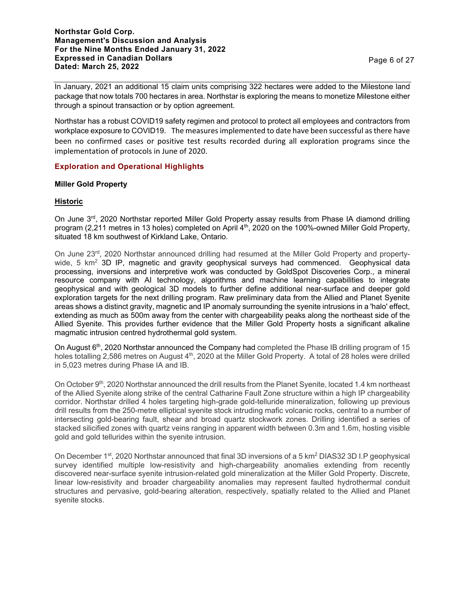**Northstar Gold Corp. Management's Discussion and Analysis For the Nine Months Ended January 31, 2022 Expressed in Canadian Dollars Dated: March 25, 2022** Page 6 of 27

In January, 2021 an additional 15 claim units comprising 322 hectares were added to the Milestone land package that now totals 700 hectares in area. Northstar is exploring the means to monetize Milestone either through a spinout transaction or by option agreement.

Northstar has a robust COVID19 safety regimen and protocol to protect all employees and contractors from workplace exposure to COVID19. The measures implemented to date have been successful as there have been no confirmed cases or positive test results recorded during all exploration programs since the implementation of protocols in June of 2020.

## **Exploration and Operational Highlights**

## **Miller Gold Property**

## **Historic**

On June 3<sup>rd</sup>, 2020 Northstar reported Miller Gold Property assay results from Phase IA diamond drilling program (2,211 metres in 13 holes) completed on April 4<sup>th</sup>, 2020 on the 100%-owned Miller Gold Property, situated 18 km southwest of Kirkland Lake, Ontario.

On June 23rd, 2020 Northstar announced drilling had resumed at the Miller Gold Property and propertywide,  $5 \text{ km}^2$  3D IP, magnetic and gravity geophysical surveys had commenced. Geophysical data processing, inversions and interpretive work was conducted by GoldSpot Discoveries Corp., a mineral resource company with AI technology, algorithms and machine learning capabilities to integrate geophysical and with geological 3D models to further define additional near-surface and deeper gold exploration targets for the next drilling program. Raw preliminary data from the Allied and Planet Syenite areas shows a distinct gravity, magnetic and IP anomaly surrounding the syenite intrusions in a 'halo' effect, extending as much as 500m away from the center with chargeability peaks along the northeast side of the Allied Syenite. This provides further evidence that the Miller Gold Property hosts a significant alkaline magmatic intrusion centred hydrothermal gold system.

On August 6<sup>th</sup>, 2020 Northstar announced the Company had completed the Phase IB drilling program of 15 holes totalling 2,586 metres on August 4<sup>th</sup>, 2020 at the Miller Gold Property. A total of 28 holes were drilled in 5,023 metres during Phase IA and IB.

On October 9<sup>th</sup>, 2020 Northstar announced the drill results from the Planet Syenite, located 1.4 km northeast of the Allied Syenite along strike of the central Catharine Fault Zone structure within a high IP chargeability corridor. Northstar drilled 4 holes targeting high-grade gold-telluride mineralization, following up previous drill results from the 250-metre elliptical syenite stock intruding mafic volcanic rocks, central to a number of intersecting gold-bearing fault, shear and broad quartz stockwork zones. Drilling identified a series of stacked silicified zones with quartz veins ranging in apparent width between 0.3m and 1.6m, hosting visible gold and gold tellurides within the syenite intrusion.

On December 1<sup>st</sup>, 2020 Northstar announced that final 3D inversions of a 5 km<sup>2</sup> DIAS32 3D I.P geophysical survey identified multiple low-resistivity and high-chargeability anomalies extending from recently discovered near-surface syenite intrusion-related gold mineralization at the Miller Gold Property. Discrete, linear low-resistivity and broader chargeability anomalies may represent faulted hydrothermal conduit structures and pervasive, gold-bearing alteration, respectively, spatially related to the Allied and Planet syenite stocks.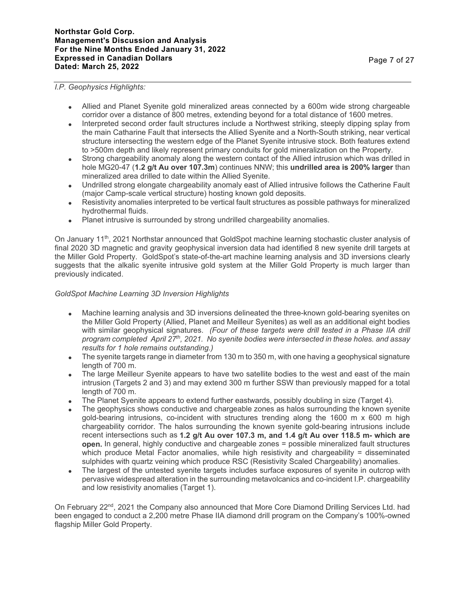## **Northstar Gold Corp. Management's Discussion and Analysis For the Nine Months Ended January 31, 2022 Expressed in Canadian Dollars Dated: March 25, 2022** Page 7 of 27

## *I.P. Geophysics Highlights:*

- Allied and Planet Syenite gold mineralized areas connected by a 600m wide strong chargeable corridor over a distance of 800 metres, extending beyond for a total distance of 1600 metres.
- Interpreted second order fault structures include a Northwest striking, steeply dipping splay from the main Catharine Fault that intersects the Allied Syenite and a North-South striking, near vertical structure intersecting the western edge of the Planet Syenite intrusive stock. Both features extend to >500m depth and likely represent primary conduits for gold mineralization on the Property.
- Strong chargeability anomaly along the western contact of the Allied intrusion which was drilled in hole MG20-47 (**1.2 g/t Au over 107.3m**) continues NNW; this **undrilled area is 200% larger** than mineralized area drilled to date within the Allied Syenite.
- Undrilled strong elongate chargeability anomaly east of Allied intrusive follows the Catherine Fault (major Camp-scale vertical structure) hosting known gold deposits.
- Resistivity anomalies interpreted to be vertical fault structures as possible pathways for mineralized hydrothermal fluids.
- Planet intrusive is surrounded by strong undrilled chargeability anomalies.

On January 11<sup>th</sup>, 2021 Northstar announced that GoldSpot machine learning stochastic cluster analysis of final 2020 3D magnetic and gravity geophysical inversion data had identified 8 new syenite drill targets at the Miller Gold Property. GoldSpot's state-of-the-art machine learning analysis and 3D inversions clearly suggests that the alkalic syenite intrusive gold system at the Miller Gold Property is much larger than previously indicated.

## *GoldSpot Machine Learning 3D Inversion Highlights*

- Machine learning analysis and 3D inversions delineated the three-known gold-bearing syenites on the Miller Gold Property (Allied, Planet and Meilleur Syenites) as well as an additional eight bodies with similar geophysical signatures. *(Four of these targets were drill tested in a Phase IIA drill program completed April 27th, 2021. No syenite bodies were intersected in these holes. and assay results for 1 hole remains outstanding.)*
- $\bullet$  The syenite targets range in diameter from 130 m to 350 m, with one having a geophysical signature length of 700 m.
- The large Meilleur Syenite appears to have two satellite bodies to the west and east of the main intrusion (Targets 2 and 3) and may extend 300 m further SSW than previously mapped for a total length of 700 m.
- The Planet Syenite appears to extend further eastwards, possibly doubling in size (Target 4).
- The geophysics shows conductive and chargeable zones as halos surrounding the known syenite gold-bearing intrusions, co-incident with structures trending along the 1600 m x 600 m high chargeability corridor. The halos surrounding the known syenite gold-bearing intrusions include recent intersections such as **1.2 g/t Au over 107.3 m, and 1.4 g/t Au over 118.5 m- which are open.** In general, highly conductive and chargeable zones = possible mineralized fault structures which produce Metal Factor anomalies, while high resistivity and chargeability = disseminated sulphides with quartz veining which produce RSC (Resistivity Scaled Chargeability) anomalies.
- The largest of the untested syenite targets includes surface exposures of syenite in outcrop with pervasive widespread alteration in the surrounding metavolcanics and co-incident I.P. chargeability and low resistivity anomalies (Target 1).

On February 22<sup>nd</sup>, 2021 the Company also announced that More Core Diamond Drilling Services Ltd. had been engaged to conduct a 2,200 metre Phase IIA diamond drill program on the Company's 100%-owned flagship Miller Gold Property.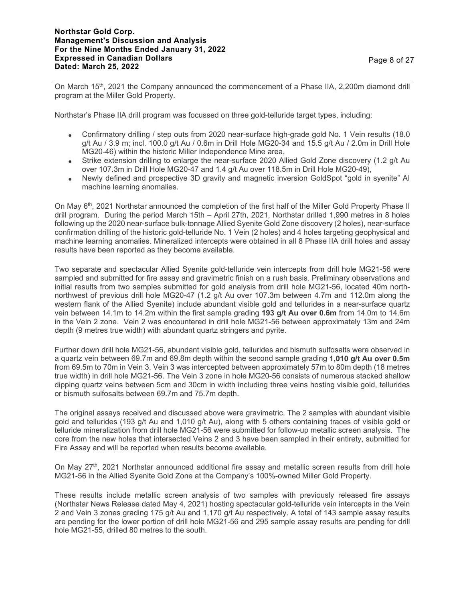On March 15th, 2021 the Company announced the commencement of a Phase IIA, 2,200m diamond drill program at the Miller Gold Property.

Northstar's Phase IIA drill program was focussed on three gold-telluride target types, including:

- Confirmatory drilling / step outs from 2020 near-surface high-grade gold No. 1 Vein results (18.0 g/t Au / 3.9 m; incl. 100.0 g/t Au / 0.6m in Drill Hole MG20-34 and 15.5 g/t Au / 2.0m in Drill Hole MG20-46) within the historic Miller Independence Mine area,
- Strike extension drilling to enlarge the near-surface 2020 Allied Gold Zone discovery (1.2 g/t Au over 107.3m in Drill Hole MG20-47 and 1.4 g/t Au over 118.5m in Drill Hole MG20-49),
- Newly defined and prospective 3D gravity and magnetic inversion GoldSpot "gold in syenite" AI machine learning anomalies.

On May 6th, 2021 Northstar announced the completion of the first half of the Miller Gold Property Phase II drill program. During the period March 15th – April 27th, 2021, Northstar drilled 1,990 metres in 8 holes following up the 2020 near-surface bulk-tonnage Allied Syenite Gold Zone discovery (2 holes), near-surface confirmation drilling of the historic gold-telluride No. 1 Vein (2 holes) and 4 holes targeting geophysical and machine learning anomalies. Mineralized intercepts were obtained in all 8 Phase IIA drill holes and assay results have been reported as they become available.

Two separate and spectacular Allied Syenite gold-telluride vein intercepts from drill hole MG21-56 were sampled and submitted for fire assay and gravimetric finish on a rush basis. Preliminary observations and initial results from two samples submitted for gold analysis from drill hole MG21-56, located 40m northnorthwest of previous drill hole MG20-47 (1.2 g/t Au over 107.3m between 4.7m and 112.0m along the western flank of the Allied Syenite) include abundant visible gold and tellurides in a near-surface quartz vein between 14.1m to 14.2m within the first sample grading **193 g/t Au over 0.6m** from 14.0m to 14.6m in the Vein 2 zone. Vein 2 was encountered in drill hole MG21-56 between approximately 13m and 24m depth (9 metres true width) with abundant quartz stringers and pyrite.

Further down drill hole MG21-56, abundant visible gold, tellurides and bismuth sulfosalts were observed in a quartz vein between 69.7m and 69.8m depth within the second sample grading **1,010 g/t Au over 0.5m** from 69.5m to 70m in Vein 3. Vein 3 was intercepted between approximately 57m to 80m depth (18 metres true width) in drill hole MG21-56. The Vein 3 zone in hole MG20-56 consists of numerous stacked shallow dipping quartz veins between 5cm and 30cm in width including three veins hosting visible gold, tellurides or bismuth sulfosalts between 69.7m and 75.7m depth.

The original assays received and discussed above were gravimetric. The 2 samples with abundant visible gold and tellurides (193 g/t Au and 1,010 g/t Au), along with 5 others containing traces of visible gold or telluride mineralization from drill hole MG21-56 were submitted for follow-up metallic screen analysis. The core from the new holes that intersected Veins 2 and 3 have been sampled in their entirety, submitted for Fire Assay and will be reported when results become available.

On May 27<sup>th</sup>, 2021 Northstar announced additional fire assay and metallic screen results from drill hole MG21-56 in the Allied Syenite Gold Zone at the Company's 100%-owned Miller Gold Property.

These results include metallic screen analysis of two samples with previously released fire assays (Northstar News Release dated May 4, 2021) hosting spectacular gold-telluride vein intercepts in the Vein 2 and Vein 3 zones grading 175 g/t Au and 1,170 g/t Au respectively. A total of 143 sample assay results are pending for the lower portion of drill hole MG21-56 and 295 sample assay results are pending for drill hole MG21-55, drilled 80 metres to the south.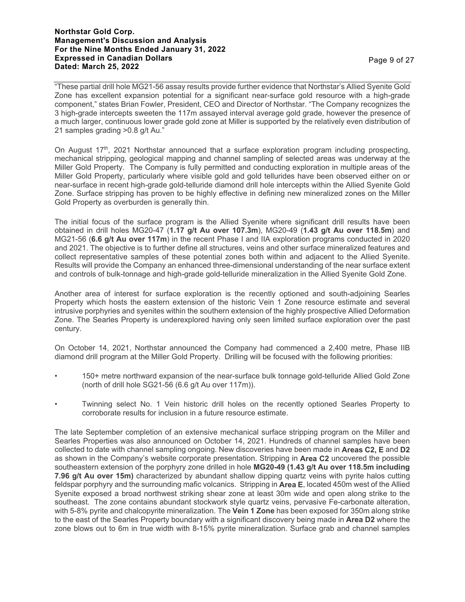## **Northstar Gold Corp. Management's Discussion and Analysis For the Nine Months Ended January 31, 2022 Expressed in Canadian Dollars Expressed in Canadian Dollars and Server Server Server Server Server Server Server Server Server Server Server<br>Dated: March 25, 2022**

"These partial drill hole MG21-56 assay results provide further evidence that Northstar's Allied Syenite Gold Zone has excellent expansion potential for a significant near-surface gold resource with a high-grade component," states Brian Fowler, President, CEO and Director of Northstar. "The Company recognizes the 3 high-grade intercepts sweeten the 117m assayed interval average gold grade, however the presence of a much larger, continuous lower grade gold zone at Miller is supported by the relatively even distribution of 21 samples grading >0.8 g/t Au."

On August 17<sup>th</sup>, 2021 Northstar announced that a surface exploration program including prospecting, mechanical stripping, geological mapping and channel sampling of selected areas was underway at the Miller Gold Property. The Company is fully permitted and conducting exploration in multiple areas of the Miller Gold Property, particularly where visible gold and gold tellurides have been observed either on or near-surface in recent high-grade gold-telluride diamond drill hole intercepts within the Allied Syenite Gold Zone. Surface stripping has proven to be highly effective in defining new mineralized zones on the Miller Gold Property as overburden is generally thin.

The initial focus of the surface program is the Allied Syenite where significant drill results have been obtained in drill holes MG20-47 (**1.17 g/t Au over 107.3m**), MG20-49 (**1.43 g/t Au over 118.5m**) and MG21-56 (**6.6 g/t Au over 117m**) in the recent Phase I and IIA exploration programs conducted in 2020 and 2021. The objective is to further define all structures, veins and other surface mineralized features and collect representative samples of these potential zones both within and adjacent to the Allied Syenite. Results will provide the Company an enhanced three-dimensional understanding of the near surface extent and controls of bulk-tonnage and high-grade gold-telluride mineralization in the Allied Syenite Gold Zone.

Another area of interest for surface exploration is the recently optioned and south-adjoining Searles Property which hosts the eastern extension of the historic Vein 1 Zone resource estimate and several intrusive porphyries and syenites within the southern extension of the highly prospective Allied Deformation Zone. The Searles Property is underexplored having only seen limited surface exploration over the past century.

On October 14, 2021, Northstar announced the Company had commenced a 2,400 metre, Phase IIB diamond drill program at the Miller Gold Property. Drilling will be focused with the following priorities:

- 150+ metre northward expansion of the near-surface bulk tonnage gold-telluride Allied Gold Zone (north of drill hole SG21-56 (6.6 g/t Au over 117m)).
- Twinning select No. 1 Vein historic drill holes on the recently optioned Searles Property to corroborate results for inclusion in a future resource estimate.

The late September completion of an extensive mechanical surface stripping program on the Miller and Searles Properties was also announced on October 14, 2021. Hundreds of channel samples have been collected to date with channel sampling ongoing. New discoveries have been made in **Areas C2, E** and **D2** as shown in the Company's website corporate presentation. Stripping in **Area C2** uncovered the possible southeastern extension of the porphyry zone drilled in hole **MG20-49 (1.43 g/t Au over 118.5m including 7.96 g/t Au over 15m)** characterized by abundant shallow dipping quartz veins with pyrite halos cutting feldspar porphyry and the surrounding mafic volcanics. Stripping in **Area E**, located 450m west of the Allied Syenite exposed a broad northwest striking shear zone at least 30m wide and open along strike to the southeast. The zone contains abundant stockwork style quartz veins, pervasive Fe-carbonate alteration, with 5-8% pyrite and chalcopyrite mineralization. The **Vein 1 Zone** has been exposed for 350m along strike to the east of the Searles Property boundary with a significant discovery being made in **Area D2** where the zone blows out to 6m in true width with 8-15% pyrite mineralization. Surface grab and channel samples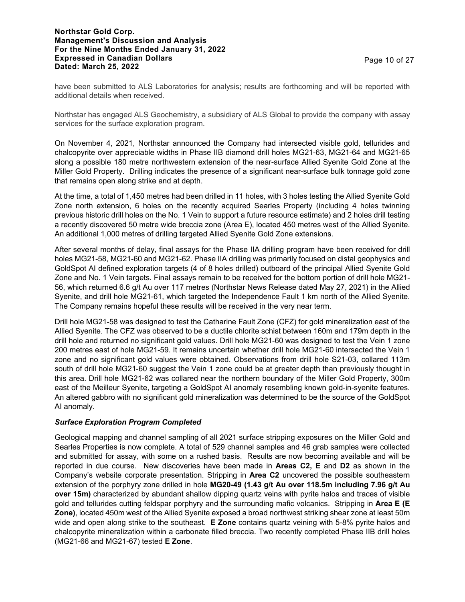have been submitted to ALS Laboratories for analysis; results are forthcoming and will be reported with additional details when received.

Northstar has engaged ALS Geochemistry, a subsidiary of ALS Global to provide the company with assay services for the surface exploration program.

On November 4, 2021, Northstar announced the Company had intersected visible gold, tellurides and chalcopyrite over appreciable widths in Phase IIB diamond drill holes MG21-63, MG21-64 and MG21-65 along a possible 180 metre northwestern extension of the near-surface Allied Syenite Gold Zone at the Miller Gold Property. Drilling indicates the presence of a significant near-surface bulk tonnage gold zone that remains open along strike and at depth.

At the time, a total of 1,450 metres had been drilled in 11 holes, with 3 holes testing the Allied Syenite Gold Zone north extension, 6 holes on the recently acquired Searles Property (including 4 holes twinning previous historic drill holes on the No. 1 Vein to support a future resource estimate) and 2 holes drill testing a recently discovered 50 metre wide breccia zone (Area E), located 450 metres west of the Allied Syenite. An additional 1,000 metres of drilling targeted Allied Syenite Gold Zone extensions.

After several months of delay, final assays for the Phase IIA drilling program have been received for drill holes MG21-58, MG21-60 and MG21-62. Phase IIA drilling was primarily focused on distal geophysics and GoldSpot AI defined exploration targets (4 of 8 holes drilled) outboard of the principal Allied Syenite Gold Zone and No. 1 Vein targets. Final assays remain to be received for the bottom portion of drill hole MG21- 56, which returned 6.6 g/t Au over 117 metres (Northstar News Release dated May 27, 2021) in the Allied Syenite, and drill hole MG21-61, which targeted the Independence Fault 1 km north of the Allied Syenite. The Company remains hopeful these results will be received in the very near term.

Drill hole MG21-58 was designed to test the Catharine Fault Zone (CFZ) for gold mineralization east of the Allied Syenite. The CFZ was observed to be a ductile chlorite schist between 160m and 179m depth in the drill hole and returned no significant gold values. Drill hole MG21-60 was designed to test the Vein 1 zone 200 metres east of hole MG21-59. It remains uncertain whether drill hole MG21-60 intersected the Vein 1 zone and no significant gold values were obtained. Observations from drill hole S21-03, collared 113m south of drill hole MG21-60 suggest the Vein 1 zone could be at greater depth than previously thought in this area. Drill hole MG21-62 was collared near the northern boundary of the Miller Gold Property, 300m east of the Meilleur Syenite, targeting a GoldSpot AI anomaly resembling known gold-in-syenite features. An altered gabbro with no significant gold mineralization was determined to be the source of the GoldSpot AI anomaly.

## *Surface Exploration Program Completed*

Geological mapping and channel sampling of all 2021 surface stripping exposures on the Miller Gold and Searles Properties is now complete. A total of 529 channel samples and 46 grab samples were collected and submitted for assay, with some on a rushed basis. Results are now becoming available and will be reported in due course. New discoveries have been made in **Areas C2, E** and **D2** as shown in the Company's website corporate presentation. Stripping in **Area C2** uncovered the possible southeastern extension of the porphyry zone drilled in hole **MG20-49 (1.43 g/t Au over 118.5m including 7.96 g/t Au over 15m)** characterized by abundant shallow dipping quartz veins with pyrite halos and traces of visible gold and tellurides cutting feldspar porphyry and the surrounding mafic volcanics. Stripping in **Area E (E Zone)**, located 450m west of the Allied Syenite exposed a broad northwest striking shear zone at least 50m wide and open along strike to the southeast. **E Zone** contains quartz veining with 5-8% pyrite halos and chalcopyrite mineralization within a carbonate filled breccia. Two recently completed Phase IIB drill holes (MG21-66 and MG21-67) tested **E Zone**.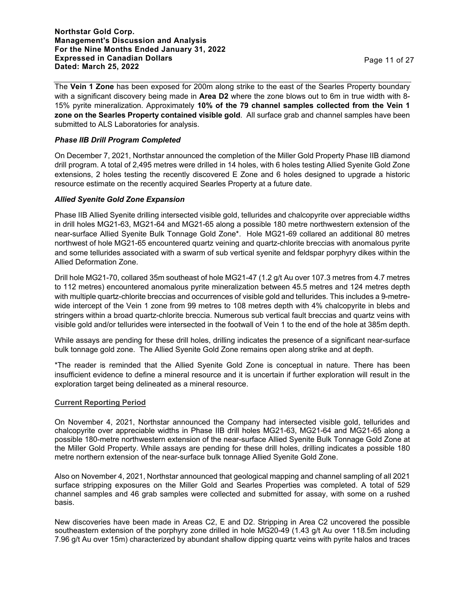The **Vein 1 Zone** has been exposed for 200m along strike to the east of the Searles Property boundary with a significant discovery being made in **Area D2** where the zone blows out to 6m in true width with 8- 15% pyrite mineralization. Approximately **10% of the 79 channel samples collected from the Vein 1 zone on the Searles Property contained visible gold**. All surface grab and channel samples have been submitted to ALS Laboratories for analysis.

# *Phase IIB Drill Program Completed*

On December 7, 2021, Northstar announced the completion of the Miller Gold Property Phase IIB diamond drill program. A total of 2,495 metres were drilled in 14 holes, with 6 holes testing Allied Syenite Gold Zone extensions, 2 holes testing the recently discovered E Zone and 6 holes designed to upgrade a historic resource estimate on the recently acquired Searles Property at a future date.

## *Allied Syenite Gold Zone Expansion*

Phase IIB Allied Syenite drilling intersected visible gold, tellurides and chalcopyrite over appreciable widths in drill holes MG21-63, MG21-64 and MG21-65 along a possible 180 metre northwestern extension of the near-surface Allied Syenite Bulk Tonnage Gold Zone\*. Hole MG21-69 collared an additional 80 metres northwest of hole MG21-65 encountered quartz veining and quartz-chlorite breccias with anomalous pyrite and some tellurides associated with a swarm of sub vertical syenite and feldspar porphyry dikes within the Allied Deformation Zone.

Drill hole MG21-70, collared 35m southeast of hole MG21-47 (1.2 g/t Au over 107.3 metres from 4.7 metres to 112 metres) encountered anomalous pyrite mineralization between 45.5 metres and 124 metres depth with multiple quartz-chlorite breccias and occurrences of visible gold and tellurides. This includes a 9-metrewide intercept of the Vein 1 zone from 99 metres to 108 metres depth with 4% chalcopyrite in blebs and stringers within a broad quartz-chlorite breccia. Numerous sub vertical fault breccias and quartz veins with visible gold and/or tellurides were intersected in the footwall of Vein 1 to the end of the hole at 385m depth.

While assays are pending for these drill holes, drilling indicates the presence of a significant near-surface bulk tonnage gold zone. The Allied Syenite Gold Zone remains open along strike and at depth.

\*The reader is reminded that the Allied Syenite Gold Zone is conceptual in nature. There has been insufficient evidence to define a mineral resource and it is uncertain if further exploration will result in the exploration target being delineated as a mineral resource.

## **Current Reporting Period**

On November 4, 2021, Northstar announced the Company had intersected visible gold, tellurides and chalcopyrite over appreciable widths in Phase IIB drill holes MG21-63, MG21-64 and MG21-65 along a possible 180-metre northwestern extension of the near-surface Allied Syenite Bulk Tonnage Gold Zone at the Miller Gold Property. While assays are pending for these drill holes, drilling indicates a possible 180 metre northern extension of the near-surface bulk tonnage Allied Syenite Gold Zone.

Also on November 4, 2021, Northstar announced that geological mapping and channel sampling of all 2021 surface stripping exposures on the Miller Gold and Searles Properties was completed. A total of 529 channel samples and 46 grab samples were collected and submitted for assay, with some on a rushed basis.

New discoveries have been made in Areas C2, E and D2. Stripping in Area C2 uncovered the possible southeastern extension of the porphyry zone drilled in hole MG20-49 (1.43 g/t Au over 118.5m including 7.96 g/t Au over 15m) characterized by abundant shallow dipping quartz veins with pyrite halos and traces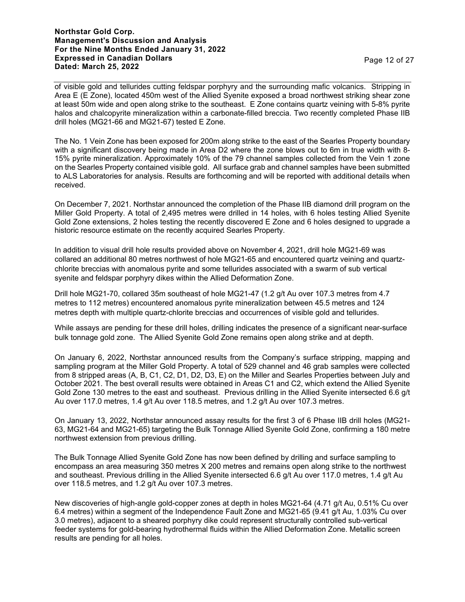**Northstar Gold Corp. Management's Discussion and Analysis For the Nine Months Ended January 31, 2022 Expressed in Canadian Dollars Dated: March 25, 2022** Page 12 of 27

of visible gold and tellurides cutting feldspar porphyry and the surrounding mafic volcanics. Stripping in Area E (E Zone), located 450m west of the Allied Syenite exposed a broad northwest striking shear zone at least 50m wide and open along strike to the southeast. E Zone contains quartz veining with 5-8% pyrite halos and chalcopyrite mineralization within a carbonate-filled breccia. Two recently completed Phase IIB drill holes (MG21-66 and MG21-67) tested E Zone.

The No. 1 Vein Zone has been exposed for 200m along strike to the east of the Searles Property boundary with a significant discovery being made in Area D2 where the zone blows out to 6m in true width with 8- 15% pyrite mineralization. Approximately 10% of the 79 channel samples collected from the Vein 1 zone on the Searles Property contained visible gold. All surface grab and channel samples have been submitted to ALS Laboratories for analysis. Results are forthcoming and will be reported with additional details when received.

On December 7, 2021. Northstar announced the completion of the Phase IIB diamond drill program on the Miller Gold Property. A total of 2,495 metres were drilled in 14 holes, with 6 holes testing Allied Syenite Gold Zone extensions, 2 holes testing the recently discovered E Zone and 6 holes designed to upgrade a historic resource estimate on the recently acquired Searles Property.

In addition to visual drill hole results provided above on November 4, 2021, drill hole MG21-69 was collared an additional 80 metres northwest of hole MG21-65 and encountered quartz veining and quartzchlorite breccias with anomalous pyrite and some tellurides associated with a swarm of sub vertical syenite and feldspar porphyry dikes within the Allied Deformation Zone.

Drill hole MG21-70, collared 35m southeast of hole MG21-47 (1.2 g/t Au over 107.3 metres from 4.7 metres to 112 metres) encountered anomalous pyrite mineralization between 45.5 metres and 124 metres depth with multiple quartz-chlorite breccias and occurrences of visible gold and tellurides.

While assays are pending for these drill holes, drilling indicates the presence of a significant near-surface bulk tonnage gold zone. The Allied Syenite Gold Zone remains open along strike and at depth.

On January 6, 2022, Northstar announced results from the Company's surface stripping, mapping and sampling program at the Miller Gold Property. A total of 529 channel and 46 grab samples were collected from 8 stripped areas (A, B, C1, C2, D1, D2, D3, E) on the Miller and Searles Properties between July and October 2021. The best overall results were obtained in Areas C1 and C2, which extend the Allied Syenite Gold Zone 130 metres to the east and southeast. Previous drilling in the Allied Syenite intersected 6.6 g/t Au over 117.0 metres, 1.4 g/t Au over 118.5 metres, and 1.2 g/t Au over 107.3 metres.

On January 13, 2022, Northstar announced assay results for the first 3 of 6 Phase IIB drill holes (MG21- 63, MG21-64 and MG21-65) targeting the Bulk Tonnage Allied Syenite Gold Zone, confirming a 180 metre northwest extension from previous drilling.

The Bulk Tonnage Allied Syenite Gold Zone has now been defined by drilling and surface sampling to encompass an area measuring 350 metres X 200 metres and remains open along strike to the northwest and southeast. Previous drilling in the Allied Syenite intersected 6.6 g/t Au over 117.0 metres, 1.4 g/t Au over 118.5 metres, and 1.2 g/t Au over 107.3 metres.

New discoveries of high-angle gold-copper zones at depth in holes MG21-64 (4.71 g/t Au, 0.51% Cu over 6.4 metres) within a segment of the Independence Fault Zone and MG21-65 (9.41 g/t Au, 1.03% Cu over 3.0 metres), adjacent to a sheared porphyry dike could represent structurally controlled sub-vertical feeder systems for gold-bearing hydrothermal fluids within the Allied Deformation Zone. Metallic screen results are pending for all holes.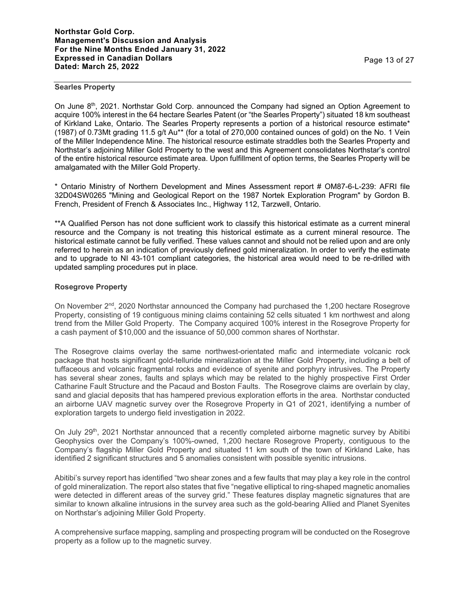#### **Searles Property**

On June 8<sup>th</sup>, 2021. Northstar Gold Corp. announced the Company had signed an Option Agreement to acquire 100% interest in the 64 hectare Searles Patent (or "the Searles Property") situated 18 km southeast of Kirkland Lake, Ontario. The Searles Property represents a portion of a historical resource estimate\* (1987) of 0.73Mt grading 11.5 g/t Au\*\* (for a total of 270,000 contained ounces of gold) on the No. 1 Vein of the Miller Independence Mine. The historical resource estimate straddles both the Searles Property and Northstar's adjoining Miller Gold Property to the west and this Agreement consolidates Northstar's control of the entire historical resource estimate area. Upon fulfillment of option terms, the Searles Property will be amalgamated with the Miller Gold Property.

\* Ontario Ministry of Northern Development and Mines Assessment report # OM87-6-L-239: AFRI file 32D04SW0265 "Mining and Geological Report on the 1987 Nortek Exploration Program" by Gordon B. French, President of French & Associates Inc., Highway 112, Tarzwell, Ontario.

\*\*A Qualified Person has not done sufficient work to classify this historical estimate as a current mineral resource and the Company is not treating this historical estimate as a current mineral resource. The historical estimate cannot be fully verified. These values cannot and should not be relied upon and are only referred to herein as an indication of previously defined gold mineralization. In order to verify the estimate and to upgrade to NI 43-101 compliant categories, the historical area would need to be re-drilled with updated sampling procedures put in place.

## **Rosegrove Property**

On November 2<sup>nd</sup>, 2020 Northstar announced the Company had purchased the 1,200 hectare Rosegrove Property, consisting of 19 contiguous mining claims containing 52 cells situated 1 km northwest and along trend from the Miller Gold Property. The Company acquired 100% interest in the Rosegrove Property for a cash payment of \$10,000 and the issuance of 50,000 common shares of Northstar.

The Rosegrove claims overlay the same northwest-orientated mafic and intermediate volcanic rock package that hosts significant gold-telluride mineralization at the Miller Gold Property, including a belt of tuffaceous and volcanic fragmental rocks and evidence of syenite and porphyry intrusives. The Property has several shear zones, faults and splays which may be related to the highly prospective First Order Catharine Fault Structure and the Pacaud and Boston Faults. The Rosegrove claims are overlain by clay, sand and glacial deposits that has hampered previous exploration efforts in the area. Northstar conducted an airborne UAV magnetic survey over the Rosegrove Property in Q1 of 2021, identifying a number of exploration targets to undergo field investigation in 2022.

On July 29<sup>th</sup>, 2021 Northstar announced that a recently completed airborne magnetic survey by Abitibi Geophysics over the Company's 100%-owned, 1,200 hectare Rosegrove Property, contiguous to the Company's flagship Miller Gold Property and situated 11 km south of the town of Kirkland Lake, has identified 2 significant structures and 5 anomalies consistent with possible syenitic intrusions.

Abitibi's survey report has identified "two shear zones and a few faults that may play a key role in the control of gold mineralization. The report also states that five "negative elliptical to ring-shaped magnetic anomalies were detected in different areas of the survey grid." These features display magnetic signatures that are similar to known alkaline intrusions in the survey area such as the gold-bearing Allied and Planet Syenites on Northstar's adjoining Miller Gold Property.

A comprehensive surface mapping, sampling and prospecting program will be conducted on the Rosegrove property as a follow up to the magnetic survey.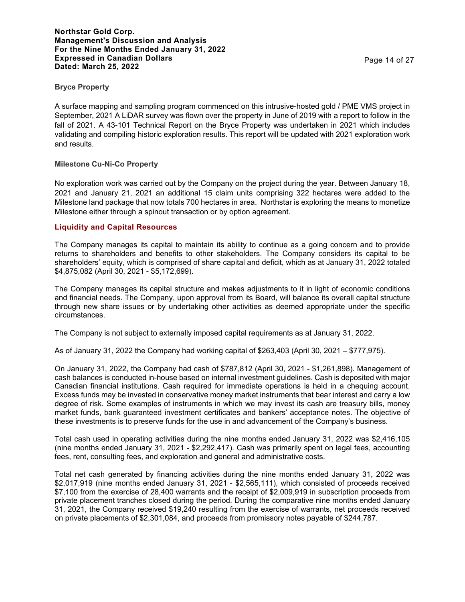#### **Bryce Property**

A surface mapping and sampling program commenced on this intrusive-hosted gold / PME VMS project in September, 2021 A LiDAR survey was flown over the property in June of 2019 with a report to follow in the fall of 2021. A 43-101 Technical Report on the Bryce Property was undertaken in 2021 which includes validating and compiling historic exploration results. This report will be updated with 2021 exploration work and results.

## **Milestone Cu-Ni-Co Property**

No exploration work was carried out by the Company on the project during the year. Between January 18, 2021 and January 21, 2021 an additional 15 claim units comprising 322 hectares were added to the Milestone land package that now totals 700 hectares in area. Northstar is exploring the means to monetize Milestone either through a spinout transaction or by option agreement.

## **Liquidity and Capital Resources**

The Company manages its capital to maintain its ability to continue as a going concern and to provide returns to shareholders and benefits to other stakeholders. The Company considers its capital to be shareholders' equity, which is comprised of share capital and deficit, which as at January 31, 2022 totaled \$4,875,082 (April 30, 2021 - \$5,172,699).

The Company manages its capital structure and makes adjustments to it in light of economic conditions and financial needs. The Company, upon approval from its Board, will balance its overall capital structure through new share issues or by undertaking other activities as deemed appropriate under the specific circumstances.

The Company is not subject to externally imposed capital requirements as at January 31, 2022.

As of January 31, 2022 the Company had working capital of \$263,403 (April 30, 2021 – \$777,975).

On January 31, 2022, the Company had cash of \$787,812 (April 30, 2021 - \$1,261,898). Management of cash balances is conducted in-house based on internal investment guidelines. Cash is deposited with major Canadian financial institutions. Cash required for immediate operations is held in a chequing account. Excess funds may be invested in conservative money market instruments that bear interest and carry a low degree of risk. Some examples of instruments in which we may invest its cash are treasury bills, money market funds, bank guaranteed investment certificates and bankers' acceptance notes. The objective of these investments is to preserve funds for the use in and advancement of the Company's business.

Total cash used in operating activities during the nine months ended January 31, 2022 was \$2,416,105 (nine months ended January 31, 2021 - \$2,292,417). Cash was primarily spent on legal fees, accounting fees, rent, consulting fees, and exploration and general and administrative costs.

Total net cash generated by financing activities during the nine months ended January 31, 2022 was \$2,017,919 (nine months ended January 31, 2021 - \$2,565,111), which consisted of proceeds received \$7,100 from the exercise of 28,400 warrants and the receipt of \$2,009,919 in subscription proceeds from private placement tranches closed during the period. During the comparative nine months ended January 31, 2021, the Company received \$19,240 resulting from the exercise of warrants, net proceeds received on private placements of \$2,301,084, and proceeds from promissory notes payable of \$244,787.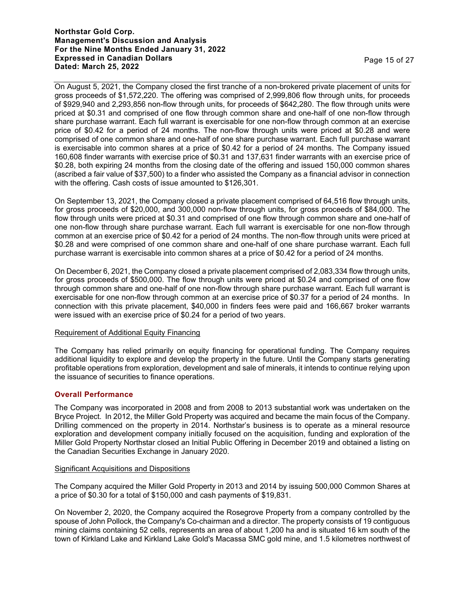## **Northstar Gold Corp. Management's Discussion and Analysis For the Nine Months Ended January 31, 2022 Expressed in Canadian Dollars Dated: March 25, 2022** Page 15 of 27

On August 5, 2021, the Company closed the first tranche of a non-brokered private placement of units for gross proceeds of \$1,572,220. The offering was comprised of 2,999,806 flow through units, for proceeds of \$929,940 and 2,293,856 non-flow through units, for proceeds of \$642,280. The flow through units were priced at \$0.31 and comprised of one flow through common share and one-half of one non-flow through share purchase warrant. Each full warrant is exercisable for one non-flow through common at an exercise price of \$0.42 for a period of 24 months. The non-flow through units were priced at \$0.28 and were comprised of one common share and one-half of one share purchase warrant. Each full purchase warrant is exercisable into common shares at a price of \$0.42 for a period of 24 months. The Company issued 160,608 finder warrants with exercise price of \$0.31 and 137,631 finder warrants with an exercise price of \$0.28, both expiring 24 months from the closing date of the offering and issued 150,000 common shares (ascribed a fair value of \$37,500) to a finder who assisted the Company as a financial advisor in connection with the offering. Cash costs of issue amounted to \$126,301.

On September 13, 2021, the Company closed a private placement comprised of 64,516 flow through units, for gross proceeds of \$20,000, and 300,000 non-flow through units, for gross proceeds of \$84,000. The flow through units were priced at \$0.31 and comprised of one flow through common share and one-half of one non-flow through share purchase warrant. Each full warrant is exercisable for one non-flow through common at an exercise price of \$0.42 for a period of 24 months. The non-flow through units were priced at \$0.28 and were comprised of one common share and one-half of one share purchase warrant. Each full purchase warrant is exercisable into common shares at a price of \$0.42 for a period of 24 months.

On December 6, 2021, the Company closed a private placement comprised of 2,083,334 flow through units, for gross proceeds of \$500,000. The flow through units were priced at \$0.24 and comprised of one flow through common share and one-half of one non-flow through share purchase warrant. Each full warrant is exercisable for one non-flow through common at an exercise price of \$0.37 for a period of 24 months. In connection with this private placement, \$40,000 in finders fees were paid and 166,667 broker warrants were issued with an exercise price of \$0.24 for a period of two years.

## Requirement of Additional Equity Financing

The Company has relied primarily on equity financing for operational funding. The Company requires additional liquidity to explore and develop the property in the future. Until the Company starts generating profitable operations from exploration, development and sale of minerals, it intends to continue relying upon the issuance of securities to finance operations.

# **Overall Performance**

The Company was incorporated in 2008 and from 2008 to 2013 substantial work was undertaken on the Bryce Project. In 2012, the Miller Gold Property was acquired and became the main focus of the Company. Drilling commenced on the property in 2014. Northstar's business is to operate as a mineral resource exploration and development company initially focused on the acquisition, funding and exploration of the Miller Gold Property Northstar closed an Initial Public Offering in December 2019 and obtained a listing on the Canadian Securities Exchange in January 2020.

# Significant Acquisitions and Dispositions

The Company acquired the Miller Gold Property in 2013 and 2014 by issuing 500,000 Common Shares at a price of \$0.30 for a total of \$150,000 and cash payments of \$19,831.

On November 2, 2020, the Company acquired the Rosegrove Property from a company controlled by the spouse of John Pollock, the Company's Co-chairman and a director. The property consists of 19 contiguous mining claims containing 52 cells, represents an area of about 1,200 ha and is situated 16 km south of the town of Kirkland Lake and Kirkland Lake Gold's Macassa SMC gold mine, and 1.5 kilometres northwest of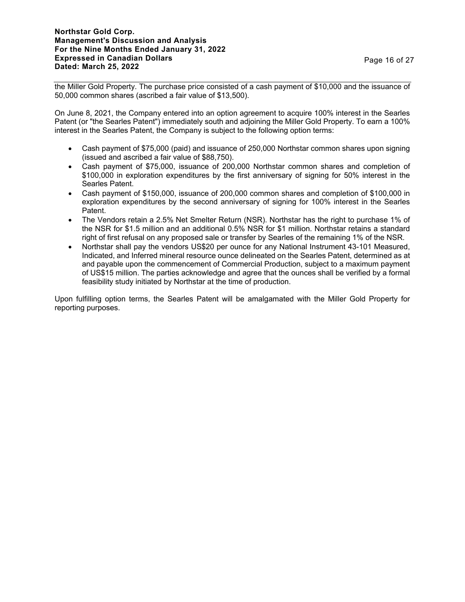the Miller Gold Property. The purchase price consisted of a cash payment of \$10,000 and the issuance of 50,000 common shares (ascribed a fair value of \$13,500).

On June 8, 2021, the Company entered into an option agreement to acquire 100% interest in the Searles Patent (or "the Searles Patent") immediately south and adjoining the Miller Gold Property. To earn a 100% interest in the Searles Patent, the Company is subject to the following option terms:

- Cash payment of \$75,000 (paid) and issuance of 250,000 Northstar common shares upon signing (issued and ascribed a fair value of \$88,750).
- Cash payment of \$75,000, issuance of 200,000 Northstar common shares and completion of \$100,000 in exploration expenditures by the first anniversary of signing for 50% interest in the Searles Patent.
- Cash payment of \$150,000, issuance of 200,000 common shares and completion of \$100,000 in exploration expenditures by the second anniversary of signing for 100% interest in the Searles Patent.
- The Vendors retain a 2.5% Net Smelter Return (NSR). Northstar has the right to purchase 1% of the NSR for \$1.5 million and an additional 0.5% NSR for \$1 million. Northstar retains a standard right of first refusal on any proposed sale or transfer by Searles of the remaining 1% of the NSR.
- Northstar shall pay the vendors US\$20 per ounce for any National Instrument 43-101 Measured, Indicated, and Inferred mineral resource ounce delineated on the Searles Patent, determined as at and payable upon the commencement of Commercial Production, subject to a maximum payment of US\$15 million. The parties acknowledge and agree that the ounces shall be verified by a formal feasibility study initiated by Northstar at the time of production.

Upon fulfilling option terms, the Searles Patent will be amalgamated with the Miller Gold Property for reporting purposes.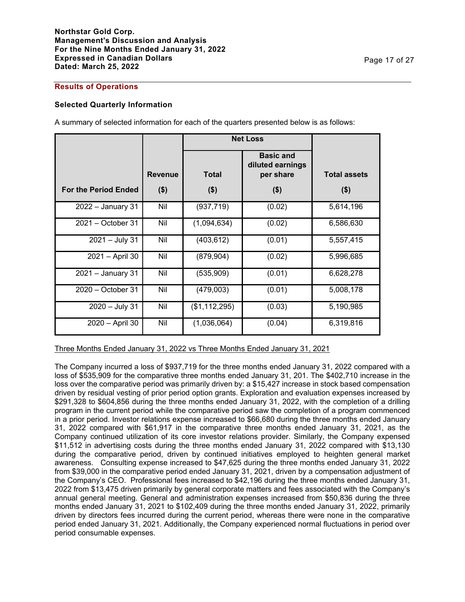#### **Results of Operations**

#### **Selected Quarterly Information**

A summary of selected information for each of the quarters presented below is as follows:

|                             |                | <b>Net Loss</b> |                                                   |                     |
|-----------------------------|----------------|-----------------|---------------------------------------------------|---------------------|
|                             | <b>Revenue</b> | <b>Total</b>    | <b>Basic and</b><br>diluted earnings<br>per share | <b>Total assets</b> |
| <b>For the Period Ended</b> | ( \$)          | $($ \$)         | $($ \$)                                           | $($ \$)             |
| $2022 -$ January 31         | Nil            | (937, 719)      | (0.02)                                            | 5,614,196           |
| 2021 - October 31           | Nil            | (1,094,634)     | (0.02)                                            | 6,586,630           |
| $2021 - July 31$            | Nil            | (403, 612)      | (0.01)                                            | 5,557,415           |
| 2021 - April 30             | Nil            | (879, 904)      | (0.02)                                            | 5,996,685           |
| 2021 - January 31           | Nil            | (535,909)       | (0.01)                                            | 6,628,278           |
| $2020 - October$ 31         | Nil            | (479,003)       | (0.01)                                            | 5,008,178           |
| 2020 - July 31              | Nil            | (\$1,112,295)   | (0.03)                                            | 5,190,985           |
| 2020 - April 30             | Nil            | (1,036,064)     | (0.04)                                            | 6,319,816           |

Three Months Ended January 31, 2022 vs Three Months Ended January 31, 2021

The Company incurred a loss of \$937,719 for the three months ended January 31, 2022 compared with a loss of \$535,909 for the comparative three months ended January 31, 201. The \$402,710 increase in the loss over the comparative period was primarily driven by: a \$15,427 increase in stock based compensation driven by residual vesting of prior period option grants. Exploration and evaluation expenses increased by \$291,328 to \$604,856 during the three months ended January 31, 2022, with the completion of a drilling program in the current period while the comparative period saw the completion of a program commenced in a prior period. Investor relations expense increased to \$66,680 during the three months ended January 31, 2022 compared with \$61,917 in the comparative three months ended January 31, 2021, as the Company continued utilization of its core investor relations provider. Similarly, the Company expensed \$11,512 in advertising costs during the three months ended January 31, 2022 compared with \$13,130 during the comparative period, driven by continued initiatives employed to heighten general market awareness. Consulting expense increased to \$47,625 during the three months ended January 31, 2022 from \$39,000 in the comparative period ended January 31, 2021, driven by a compensation adjustment of the Company's CEO. Professional fees increased to \$42,196 during the three months ended January 31, 2022 from \$13,475 driven primarily by general corporate matters and fees associated with the Company's annual general meeting. General and administration expenses increased from \$50,836 during the three months ended January 31, 2021 to \$102,409 during the three months ended January 31, 2022, primarily driven by directors fees incurred during the current period, whereas there were none in the comparative period ended January 31, 2021. Additionally, the Company experienced normal fluctuations in period over period consumable expenses.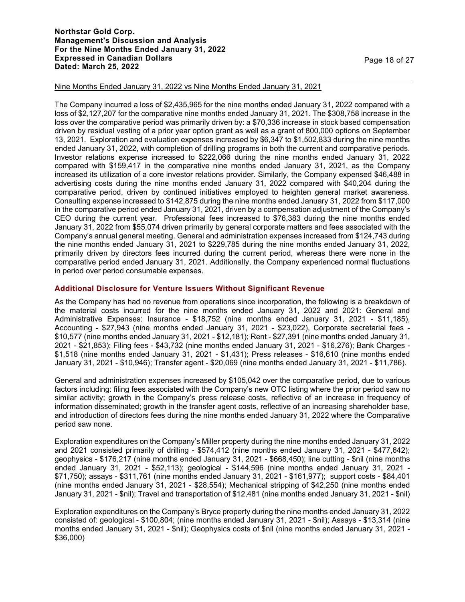## **Northstar Gold Corp. Management's Discussion and Analysis For the Nine Months Ended January 31, 2022 Expressed in Canadian Dollars Dated: March 25, 2022** Page 18 of 27

#### Nine Months Ended January 31, 2022 vs Nine Months Ended January 31, 2021

The Company incurred a loss of \$2,435,965 for the nine months ended January 31, 2022 compared with a loss of \$2,127,207 for the comparative nine months ended January 31, 2021. The \$308,758 increase in the loss over the comparative period was primarily driven by: a \$70,336 increase in stock based compensation driven by residual vesting of a prior year option grant as well as a grant of 800,000 options on September 13, 2021. Exploration and evaluation expenses increased by \$6,347 to \$1,502,833 during the nine months ended January 31, 2022, with completion of drilling programs in both the current and comparative periods. Investor relations expense increased to \$222,066 during the nine months ended January 31, 2022 compared with \$159,417 in the comparative nine months ended January 31, 2021, as the Company increased its utilization of a core investor relations provider. Similarly, the Company expensed \$46,488 in advertising costs during the nine months ended January 31, 2022 compared with \$40,204 during the comparative period, driven by continued initiatives employed to heighten general market awareness. Consulting expense increased to \$142,875 during the nine months ended January 31, 2022 from \$117,000 in the comparative period ended January 31, 2021, driven by a compensation adjustment of the Company's CEO during the current year. Professional fees increased to \$76,383 during the nine months ended January 31, 2022 from \$55,074 driven primarily by general corporate matters and fees associated with the Company's annual general meeting. General and administration expenses increased from \$124,743 during the nine months ended January 31, 2021 to \$229,785 during the nine months ended January 31, 2022, primarily driven by directors fees incurred during the current period, whereas there were none in the comparative period ended January 31, 2021. Additionally, the Company experienced normal fluctuations in period over period consumable expenses.

## **Additional Disclosure for Venture Issuers Without Significant Revenue**

As the Company has had no revenue from operations since incorporation, the following is a breakdown of the material costs incurred for the nine months ended January 31, 2022 and 2021: General and Administrative Expenses: Insurance - \$18,752 (nine months ended January 31, 2021 - \$11,185), Accounting - \$27,943 (nine months ended January 31, 2021 - \$23,022), Corporate secretarial fees - \$10,577 (nine months ended January 31, 2021 - \$12,181); Rent - \$27,391 (nine months ended January 31, 2021 - \$21,853); Filing fees - \$43,732 (nine months ended January 31, 2021 - \$16,276); Bank Charges - \$1,518 (nine months ended January 31, 2021 - \$1,431); Press releases - \$16,610 (nine months ended January 31, 2021 - \$10,946); Transfer agent - \$20,069 (nine months ended January 31, 2021 - \$11,786).

General and administration expenses increased by \$105,042 over the comparative period, due to various factors including: filing fees associated with the Company's new OTC listing where the prior period saw no similar activity; growth in the Company's press release costs, reflective of an increase in frequency of information disseminated; growth in the transfer agent costs, reflective of an increasing shareholder base, and introduction of directors fees during the nine months ended January 31, 2022 where the Comparative period saw none.

Exploration expenditures on the Company's Miller property during the nine months ended January 31, 2022 and 2021 consisted primarily of drilling - \$574,412 (nine months ended January 31, 2021 - \$477,642); geophysics - \$176,217 (nine months ended January 31, 2021 - \$668,450); line cutting - \$nil (nine months ended January 31, 2021 - \$52,113); geological - \$144,596 (nine months ended January 31, 2021 - \$71,750); assays - \$311,761 (nine months ended January 31, 2021 - \$161,977); support costs - \$84,401 (nine months ended January 31, 2021 - \$28,554); Mechanical stripping of \$42,250 (nine months ended January 31, 2021 - \$nil); Travel and transportation of \$12,481 (nine months ended January 31, 2021 - \$nil)

Exploration expenditures on the Company's Bryce property during the nine months ended January 31, 2022 consisted of: geological - \$100,804; (nine months ended January 31, 2021 - \$nil); Assays - \$13,314 (nine months ended January 31, 2021 - \$nil); Geophysics costs of \$nil (nine months ended January 31, 2021 - \$36,000)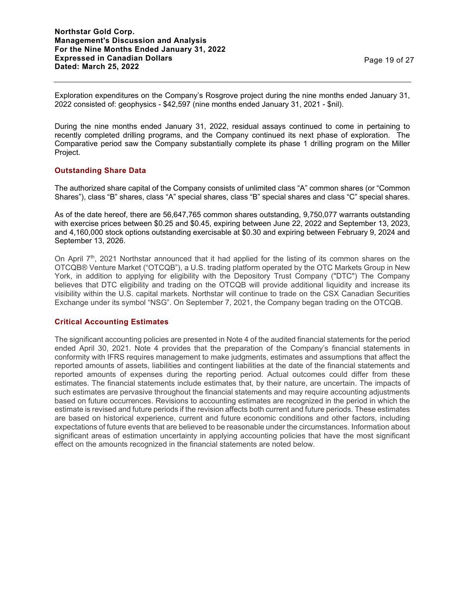Exploration expenditures on the Company's Rosgrove project during the nine months ended January 31, 2022 consisted of: geophysics - \$42,597 (nine months ended January 31, 2021 - \$nil).

During the nine months ended January 31, 2022, residual assays continued to come in pertaining to recently completed drilling programs, and the Company continued its next phase of exploration. The Comparative period saw the Company substantially complete its phase 1 drilling program on the Miller Project.

## **Outstanding Share Data**

The authorized share capital of the Company consists of unlimited class "A" common shares (or "Common Shares"), class "B" shares, class "A" special shares, class "B" special shares and class "C" special shares.

As of the date hereof, there are 56,647,765 common shares outstanding, 9,750,077 warrants outstanding with exercise prices between \$0.25 and \$0.45, expiring between June 22, 2022 and September 13, 2023, and 4,160,000 stock options outstanding exercisable at \$0.30 and expiring between February 9, 2024 and September 13, 2026.

On April  $7<sup>th</sup>$ , 2021 Northstar announced that it had applied for the listing of its common shares on the OTCQB® Venture Market ("OTCQB"), a U.S. trading platform operated by the OTC Markets Group in New York, in addition to applying for eligibility with the Depository Trust Company ("DTC") The Company believes that DTC eligibility and trading on the OTCQB will provide additional liquidity and increase its visibility within the U.S. capital markets. Northstar will continue to trade on the CSX Canadian Securities Exchange under its symbol "NSG". On September 7, 2021, the Company began trading on the OTCQB.

# **Critical Accounting Estimates**

The significant accounting policies are presented in Note 4 of the audited financial statements for the period ended April 30, 2021. Note 4 provides that the preparation of the Company's financial statements in conformity with IFRS requires management to make judgments, estimates and assumptions that affect the reported amounts of assets, liabilities and contingent liabilities at the date of the financial statements and reported amounts of expenses during the reporting period. Actual outcomes could differ from these estimates. The financial statements include estimates that, by their nature, are uncertain. The impacts of such estimates are pervasive throughout the financial statements and may require accounting adjustments based on future occurrences. Revisions to accounting estimates are recognized in the period in which the estimate is revised and future periods if the revision affects both current and future periods. These estimates are based on historical experience, current and future economic conditions and other factors, including expectations of future events that are believed to be reasonable under the circumstances. Information about significant areas of estimation uncertainty in applying accounting policies that have the most significant effect on the amounts recognized in the financial statements are noted below.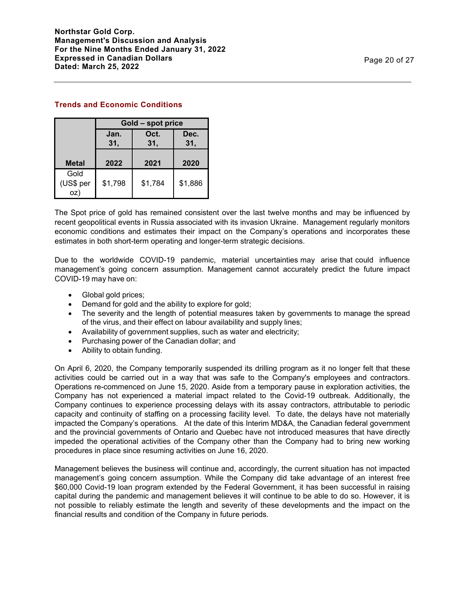# **Trends and Economic Conditions**

|                          | Gold - spot price |         |         |  |  |
|--------------------------|-------------------|---------|---------|--|--|
|                          | Jan.              | Oct.    | Dec.    |  |  |
|                          | 31,               | 31,     | 31,     |  |  |
| <b>Metal</b>             | 2022              | 2021    | 2020    |  |  |
| Gold<br>(US\$ per<br>oz) | \$1,798           | \$1,784 | \$1,886 |  |  |

The Spot price of gold has remained consistent over the last twelve months and may be influenced by recent geopolitical events in Russia associated with its invasion Ukraine. Management regularly monitors economic conditions and estimates their impact on the Company's operations and incorporates these estimates in both short-term operating and longer-term strategic decisions.

Due to the worldwide COVID-19 pandemic, material uncertainties may arise that could influence management's going concern assumption. Management cannot accurately predict the future impact COVID-19 may have on:

- Global gold prices:
- Demand for gold and the ability to explore for gold;
- The severity and the length of potential measures taken by governments to manage the spread of the virus, and their effect on labour availability and supply lines;
- Availability of government supplies, such as water and electricity;
- Purchasing power of the Canadian dollar; and
- Ability to obtain funding.

On April 6, 2020, the Company temporarily suspended its drilling program as it no longer felt that these activities could be carried out in a way that was safe to the Company's employees and contractors. Operations re-commenced on June 15, 2020. Aside from a temporary pause in exploration activities, the Company has not experienced a material impact related to the Covid-19 outbreak. Additionally, the Company continues to experience processing delays with its assay contractors, attributable to periodic capacity and continuity of staffing on a processing facility level. To date, the delays have not materially impacted the Company's operations. At the date of this Interim MD&A, the Canadian federal government and the provincial governments of Ontario and Quebec have not introduced measures that have directly impeded the operational activities of the Company other than the Company had to bring new working procedures in place since resuming activities on June 16, 2020.

Management believes the business will continue and, accordingly, the current situation has not impacted management's going concern assumption. While the Company did take advantage of an interest free \$60,000 Covid-19 loan program extended by the Federal Government, it has been successful in raising capital during the pandemic and management believes it will continue to be able to do so. However, it is not possible to reliably estimate the length and severity of these developments and the impact on the financial results and condition of the Company in future periods.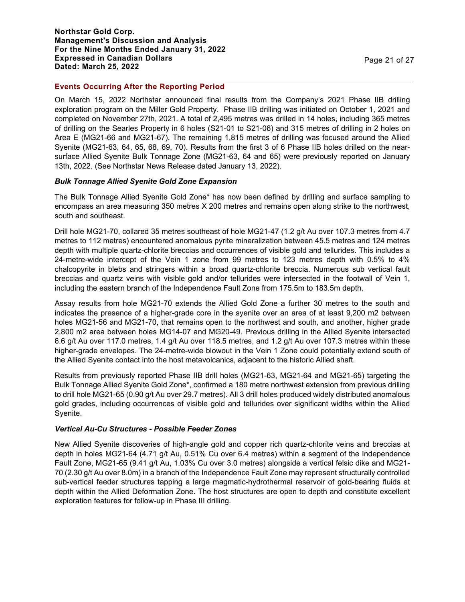## **Events Occurring After the Reporting Period**

On March 15, 2022 Northstar announced final results from the Company's 2021 Phase IIB drilling exploration program on the Miller Gold Property. Phase IIB drilling was initiated on October 1, 2021 and completed on November 27th, 2021. A total of 2,495 metres was drilled in 14 holes, including 365 metres of drilling on the Searles Property in 6 holes (S21-01 to S21-06) and 315 metres of drilling in 2 holes on Area E (MG21-66 and MG21-67). The remaining 1,815 metres of drilling was focused around the Allied Syenite (MG21-63, 64, 65, 68, 69, 70). Results from the first 3 of 6 Phase IIB holes drilled on the nearsurface Allied Syenite Bulk Tonnage Zone (MG21-63, 64 and 65) were previously reported on January 13th, 2022. (See Northstar News Release dated January 13, 2022).

## *Bulk Tonnage Allied Syenite Gold Zone Expansion*

The Bulk Tonnage Allied Syenite Gold Zone\* has now been defined by drilling and surface sampling to encompass an area measuring 350 metres X 200 metres and remains open along strike to the northwest, south and southeast.

Drill hole MG21-70, collared 35 metres southeast of hole MG21-47 (1.2 g/t Au over 107.3 metres from 4.7 metres to 112 metres) encountered anomalous pyrite mineralization between 45.5 metres and 124 metres depth with multiple quartz-chlorite breccias and occurrences of visible gold and tellurides. This includes a 24-metre-wide intercept of the Vein 1 zone from 99 metres to 123 metres depth with 0.5% to 4% chalcopyrite in blebs and stringers within a broad quartz-chlorite breccia. Numerous sub vertical fault breccias and quartz veins with visible gold and/or tellurides were intersected in the footwall of Vein 1, including the eastern branch of the Independence Fault Zone from 175.5m to 183.5m depth.

Assay results from hole MG21-70 extends the Allied Gold Zone a further 30 metres to the south and indicates the presence of a higher-grade core in the syenite over an area of at least 9,200 m2 between holes MG21-56 and MG21-70, that remains open to the northwest and south, and another, higher grade 2,800 m2 area between holes MG14-07 and MG20-49. Previous drilling in the Allied Syenite intersected 6.6 g/t Au over 117.0 metres, 1.4 g/t Au over 118.5 metres, and 1.2 g/t Au over 107.3 metres within these higher-grade envelopes. The 24-metre-wide blowout in the Vein 1 Zone could potentially extend south of the Allied Syenite contact into the host metavolcanics, adjacent to the historic Allied shaft.

Results from previously reported Phase IIB drill holes (MG21-63, MG21-64 and MG21-65) targeting the Bulk Tonnage Allied Syenite Gold Zone\*, confirmed a 180 metre northwest extension from previous drilling to drill hole MG21-65 (0.90 g/t Au over 29.7 metres). All 3 drill holes produced widely distributed anomalous gold grades, including occurrences of visible gold and tellurides over significant widths within the Allied Syenite.

## *Vertical Au-Cu Structures - Possible Feeder Zones*

New Allied Syenite discoveries of high-angle gold and copper rich quartz-chlorite veins and breccias at depth in holes MG21-64 (4.71 g/t Au, 0.51% Cu over 6.4 metres) within a segment of the Independence Fault Zone, MG21-65 (9.41 g/t Au, 1.03% Cu over 3.0 metres) alongside a vertical felsic dike and MG21- 70 (2.30 g/t Au over 8.0m) in a branch of the Independence Fault Zone may represent structurally controlled sub-vertical feeder structures tapping a large magmatic-hydrothermal reservoir of gold-bearing fluids at depth within the Allied Deformation Zone. The host structures are open to depth and constitute excellent exploration features for follow-up in Phase III drilling.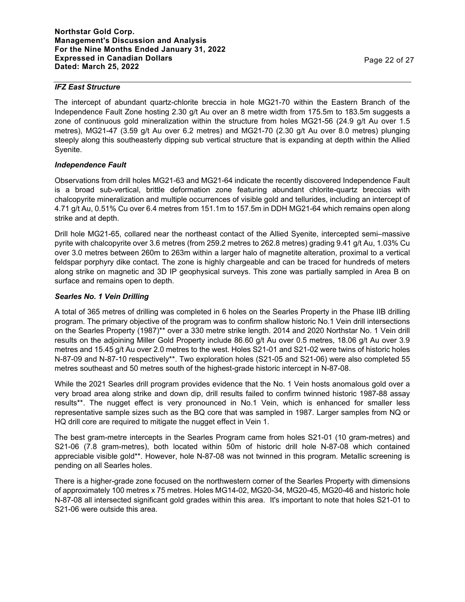## *IFZ East Structure*

The intercept of abundant quartz-chlorite breccia in hole MG21-70 within the Eastern Branch of the Independence Fault Zone hosting 2.30 g/t Au over an 8 metre width from 175.5m to 183.5m suggests a zone of continuous gold mineralization within the structure from holes MG21-56 (24.9 g/t Au over 1.5 metres), MG21-47 (3.59 g/t Au over 6.2 metres) and MG21-70 (2.30 g/t Au over 8.0 metres) plunging steeply along this southeasterly dipping sub vertical structure that is expanding at depth within the Allied Syenite.

# *Independence Fault*

Observations from drill holes MG21-63 and MG21-64 indicate the recently discovered Independence Fault is a broad sub-vertical, brittle deformation zone featuring abundant chlorite-quartz breccias with chalcopyrite mineralization and multiple occurrences of visible gold and tellurides, including an intercept of 4.71 g/t Au, 0.51% Cu over 6.4 metres from 151.1m to 157.5m in DDH MG21-64 which remains open along strike and at depth.

Drill hole MG21-65, collared near the northeast contact of the Allied Syenite, intercepted semi–massive pyrite with chalcopyrite over 3.6 metres (from 259.2 metres to 262.8 metres) grading 9.41 g/t Au, 1.03% Cu over 3.0 metres between 260m to 263m within a larger halo of magnetite alteration, proximal to a vertical feldspar porphyry dike contact. The zone is highly chargeable and can be traced for hundreds of meters along strike on magnetic and 3D IP geophysical surveys. This zone was partially sampled in Area B on surface and remains open to depth.

## *Searles No. 1 Vein Drilling*

A total of 365 metres of drilling was completed in 6 holes on the Searles Property in the Phase IIB drilling program. The primary objective of the program was to confirm shallow historic No.1 Vein drill intersections on the Searles Property (1987)\*\* over a 330 metre strike length. 2014 and 2020 Northstar No. 1 Vein drill results on the adjoining Miller Gold Property include 86.60 g/t Au over 0.5 metres, 18.06 g/t Au over 3.9 metres and 15.45 g/t Au over 2.0 metres to the west. Holes S21-01 and S21-02 were twins of historic holes N-87-09 and N-87-10 respectively\*\*. Two exploration holes (S21-05 and S21-06) were also completed 55 metres southeast and 50 metres south of the highest-grade historic intercept in N-87-08.

While the 2021 Searles drill program provides evidence that the No. 1 Vein hosts anomalous gold over a very broad area along strike and down dip, drill results failed to confirm twinned historic 1987-88 assay results\*\*. The nugget effect is very pronounced in No.1 Vein, which is enhanced for smaller less representative sample sizes such as the BQ core that was sampled in 1987. Larger samples from NQ or HQ drill core are required to mitigate the nugget effect in Vein 1.

The best gram-metre intercepts in the Searles Program came from holes S21-01 (10 gram-metres) and S21-06 (7.8 gram-metres), both located within 50m of historic drill hole N-87-08 which contained appreciable visible gold\*\*. However, hole N-87-08 was not twinned in this program. Metallic screening is pending on all Searles holes.

There is a higher-grade zone focused on the northwestern corner of the Searles Property with dimensions of approximately 100 metres x 75 metres. Holes MG14-02, MG20-34, MG20-45, MG20-46 and historic hole N-87-08 all intersected significant gold grades within this area. It's important to note that holes S21-01 to S21-06 were outside this area.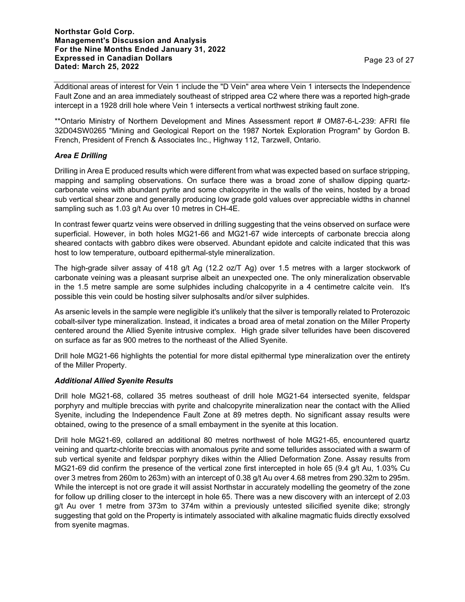Additional areas of interest for Vein 1 include the "D Vein" area where Vein 1 intersects the Independence Fault Zone and an area immediately southeast of stripped area C2 where there was a reported high-grade intercept in a 1928 drill hole where Vein 1 intersects a vertical northwest striking fault zone.

\*\*Ontario Ministry of Northern Development and Mines Assessment report # OM87-6-L-239: AFRI file 32D04SW0265 "Mining and Geological Report on the 1987 Nortek Exploration Program" by Gordon B. French, President of French & Associates Inc., Highway 112, Tarzwell, Ontario.

## *Area E Drilling*

Drilling in Area E produced results which were different from what was expected based on surface stripping, mapping and sampling observations. On surface there was a broad zone of shallow dipping quartzcarbonate veins with abundant pyrite and some chalcopyrite in the walls of the veins, hosted by a broad sub vertical shear zone and generally producing low grade gold values over appreciable widths in channel sampling such as 1.03 g/t Au over 10 metres in CH-4E.

In contrast fewer quartz veins were observed in drilling suggesting that the veins observed on surface were superficial. However, in both holes MG21-66 and MG21-67 wide intercepts of carbonate breccia along sheared contacts with gabbro dikes were observed. Abundant epidote and calcite indicated that this was host to low temperature, outboard epithermal-style mineralization.

The high-grade silver assay of 418 g/t Ag (12.2 oz/T Ag) over 1.5 metres with a larger stockwork of carbonate veining was a pleasant surprise albeit an unexpected one. The only mineralization observable in the 1.5 metre sample are some sulphides including chalcopyrite in a 4 centimetre calcite vein. It's possible this vein could be hosting silver sulphosalts and/or silver sulphides.

As arsenic levels in the sample were negligible it's unlikely that the silver is temporally related to Proterozoic cobalt-silver type mineralization. Instead, it indicates a broad area of metal zonation on the Miller Property centered around the Allied Syenite intrusive complex. High grade silver tellurides have been discovered on surface as far as 900 metres to the northeast of the Allied Syenite.

Drill hole MG21-66 highlights the potential for more distal epithermal type mineralization over the entirety of the Miller Property.

## *Additional Allied Syenite Results*

Drill hole MG21-68, collared 35 metres southeast of drill hole MG21-64 intersected syenite, feldspar porphyry and multiple breccias with pyrite and chalcopyrite mineralization near the contact with the Allied Syenite, including the Independence Fault Zone at 89 metres depth. No significant assay results were obtained, owing to the presence of a small embayment in the syenite at this location.

Drill hole MG21-69, collared an additional 80 metres northwest of hole MG21-65, encountered quartz veining and quartz-chlorite breccias with anomalous pyrite and some tellurides associated with a swarm of sub vertical syenite and feldspar porphyry dikes within the Allied Deformation Zone. Assay results from MG21-69 did confirm the presence of the vertical zone first intercepted in hole 65 (9.4 g/t Au, 1.03% Cu over 3 metres from 260m to 263m) with an intercept of 0.38 g/t Au over 4.68 metres from 290.32m to 295m. While the intercept is not ore grade it will assist Northstar in accurately modelling the geometry of the zone for follow up drilling closer to the intercept in hole 65. There was a new discovery with an intercept of 2.03 g/t Au over 1 metre from 373m to 374m within a previously untested silicified syenite dike; strongly suggesting that gold on the Property is intimately associated with alkaline magmatic fluids directly exsolved from syenite magmas.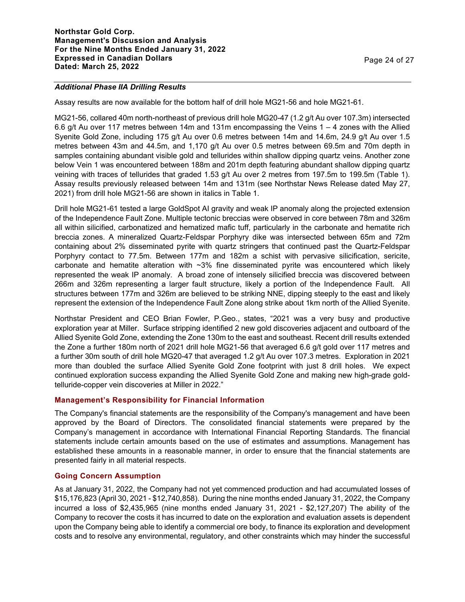## *Additional Phase IIA Drilling Results*

Assay results are now available for the bottom half of drill hole MG21-56 and hole MG21-61.

MG21-56, collared 40m north-northeast of previous drill hole MG20-47 (1.2 g/t Au over 107.3m) intersected 6.6 g/t Au over 117 metres between 14m and 131m encompassing the Veins 1 – 4 zones with the Allied Syenite Gold Zone, including 175 g/t Au over 0.6 metres between 14m and 14.6m, 24.9 g/t Au over 1.5 metres between 43m and 44.5m, and 1,170 g/t Au over 0.5 metres between 69.5m and 70m depth in samples containing abundant visible gold and tellurides within shallow dipping quartz veins. Another zone below Vein 1 was encountered between 188m and 201m depth featuring abundant shallow dipping quartz veining with traces of tellurides that graded 1.53 g/t Au over 2 metres from 197.5m to 199.5m (Table 1). Assay results previously released between 14m and 131m (see Northstar News Release dated May 27, 2021) from drill hole MG21-56 are shown in italics in Table 1.

Drill hole MG21-61 tested a large GoldSpot AI gravity and weak IP anomaly along the projected extension of the Independence Fault Zone. Multiple tectonic breccias were observed in core between 78m and 326m all within silicified, carbonatized and hematized mafic tuff, particularly in the carbonate and hematite rich breccia zones. A mineralized Quartz-Feldspar Porphyry dike was intersected between 65m and 72m containing about 2% disseminated pyrite with quartz stringers that continued past the Quartz-Feldspar Porphyry contact to 77.5m. Between 177m and 182m a schist with pervasive silicification, sericite, carbonate and hematite alteration with ~3% fine disseminated pyrite was encountered which likely represented the weak IP anomaly. A broad zone of intensely silicified breccia was discovered between 266m and 326m representing a larger fault structure, likely a portion of the Independence Fault. All structures between 177m and 326m are believed to be striking NNE, dipping steeply to the east and likely represent the extension of the Independence Fault Zone along strike about 1km north of the Allied Syenite.

Northstar President and CEO Brian Fowler, P.Geo., states, "2021 was a very busy and productive exploration year at Miller. Surface stripping identified 2 new gold discoveries adjacent and outboard of the Allied Syenite Gold Zone, extending the Zone 130m to the east and southeast. Recent drill results extended the Zone a further 180m north of 2021 drill hole MG21-56 that averaged 6.6 g/t gold over 117 metres and a further 30m south of drill hole MG20-47 that averaged 1.2 g/t Au over 107.3 metres. Exploration in 2021 more than doubled the surface Allied Syenite Gold Zone footprint with just 8 drill holes. We expect continued exploration success expanding the Allied Syenite Gold Zone and making new high-grade goldtelluride-copper vein discoveries at Miller in 2022."

## **Management's Responsibility for Financial Information**

The Company's financial statements are the responsibility of the Company's management and have been approved by the Board of Directors. The consolidated financial statements were prepared by the Company's management in accordance with International Financial Reporting Standards. The financial statements include certain amounts based on the use of estimates and assumptions. Management has established these amounts in a reasonable manner, in order to ensure that the financial statements are presented fairly in all material respects.

# **Going Concern Assumption**

As at January 31, 2022, the Company had not yet commenced production and had accumulated losses of \$15,176,823 (April 30, 2021 - \$12,740,858). During the nine months ended January 31, 2022, the Company incurred a loss of \$2,435,965 (nine months ended January 31, 2021 - \$2,127,207) The ability of the Company to recover the costs it has incurred to date on the exploration and evaluation assets is dependent upon the Company being able to identify a commercial ore body, to finance its exploration and development costs and to resolve any environmental, regulatory, and other constraints which may hinder the successful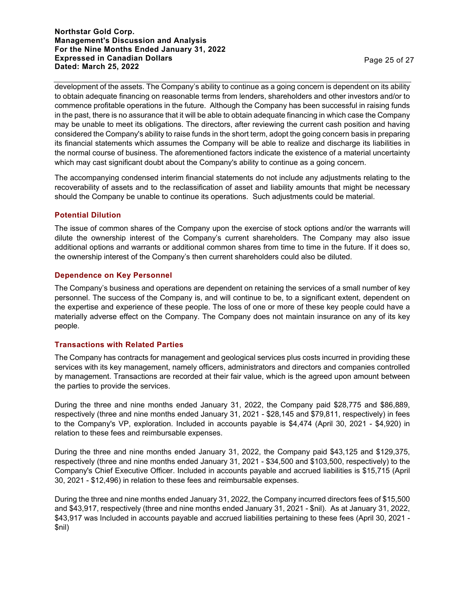**Northstar Gold Corp. Management's Discussion and Analysis For the Nine Months Ended January 31, 2022 Expressed in Canadian Dollars Expressed in Canadian Dollars**<br>Dated: March 25, 2022 **Page 25 of 27** 

development of the assets. The Company's ability to continue as a going concern is dependent on its ability to obtain adequate financing on reasonable terms from lenders, shareholders and other investors and/or to commence profitable operations in the future. Although the Company has been successful in raising funds in the past, there is no assurance that it will be able to obtain adequate financing in which case the Company may be unable to meet its obligations. The directors, after reviewing the current cash position and having considered the Company's ability to raise funds in the short term, adopt the going concern basis in preparing its financial statements which assumes the Company will be able to realize and discharge its liabilities in the normal course of business. The aforementioned factors indicate the existence of a material uncertainty which may cast significant doubt about the Company's ability to continue as a going concern.

The accompanying condensed interim financial statements do not include any adjustments relating to the recoverability of assets and to the reclassification of asset and liability amounts that might be necessary should the Company be unable to continue its operations. Such adjustments could be material.

## **Potential Dilution**

The issue of common shares of the Company upon the exercise of stock options and/or the warrants will dilute the ownership interest of the Company's current shareholders. The Company may also issue additional options and warrants or additional common shares from time to time in the future. If it does so, the ownership interest of the Company's then current shareholders could also be diluted.

## **Dependence on Key Personnel**

The Company's business and operations are dependent on retaining the services of a small number of key personnel. The success of the Company is, and will continue to be, to a significant extent, dependent on the expertise and experience of these people. The loss of one or more of these key people could have a materially adverse effect on the Company. The Company does not maintain insurance on any of its key people.

## **Transactions with Related Parties**

The Company has contracts for management and geological services plus costs incurred in providing these services with its key management, namely officers, administrators and directors and companies controlled by management. Transactions are recorded at their fair value, which is the agreed upon amount between the parties to provide the services.

During the three and nine months ended January 31, 2022, the Company paid \$28,775 and \$86,889, respectively (three and nine months ended January 31, 2021 - \$28,145 and \$79,811, respectively) in fees to the Company's VP, exploration. Included in accounts payable is \$4,474 (April 30, 2021 - \$4,920) in relation to these fees and reimbursable expenses.

During the three and nine months ended January 31, 2022, the Company paid \$43,125 and \$129,375, respectively (three and nine months ended January 31, 2021 - \$34,500 and \$103,500, respectively) to the Company's Chief Executive Officer. Included in accounts payable and accrued liabilities is \$15,715 (April 30, 2021 - \$12,496) in relation to these fees and reimbursable expenses.

During the three and nine months ended January 31, 2022, the Company incurred directors fees of \$15,500 and \$43,917, respectively (three and nine months ended January 31, 2021 - \$nil). As at January 31, 2022, \$43,917 was Included in accounts payable and accrued liabilities pertaining to these fees (April 30, 2021 - \$nil)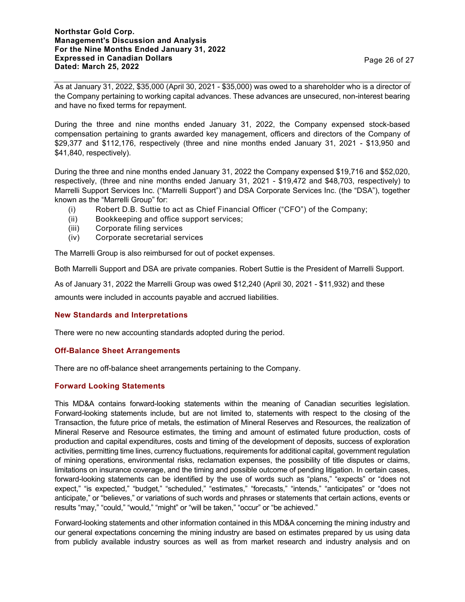## **Northstar Gold Corp. Management's Discussion and Analysis For the Nine Months Ended January 31, 2022 Expressed in Canadian Dollars Dated: March 25, 2022** Page 26 of 27

As at January 31, 2022, \$35,000 (April 30, 2021 - \$35,000) was owed to a shareholder who is a director of the Company pertaining to working capital advances. These advances are unsecured, non-interest bearing and have no fixed terms for repayment.

During the three and nine months ended January 31, 2022, the Company expensed stock-based compensation pertaining to grants awarded key management, officers and directors of the Company of \$29,377 and \$112,176, respectively (three and nine months ended January 31, 2021 - \$13,950 and \$41,840, respectively).

During the three and nine months ended January 31, 2022 the Company expensed \$19,716 and \$52,020, respectively, (three and nine months ended January 31, 2021 - \$19,472 and \$48,703, respectively) to Marrelli Support Services Inc. ("Marrelli Support") and DSA Corporate Services Inc. (the "DSA"), together known as the "Marrelli Group" for:

- (i) Robert D.B. Suttie to act as Chief Financial Officer ("CFO") of the Company;
- (ii) Bookkeeping and office support services;
- (iii) Corporate filing services
- (iv) Corporate secretarial services

The Marrelli Group is also reimbursed for out of pocket expenses.

Both Marrelli Support and DSA are private companies. Robert Suttie is the President of Marrelli Support.

As of January 31, 2022 the Marrelli Group was owed \$12,240 (April 30, 2021 - \$11,932) and these

amounts were included in accounts payable and accrued liabilities.

# **New Standards and Interpretations**

There were no new accounting standards adopted during the period.

# **Off-Balance Sheet Arrangements**

There are no off-balance sheet arrangements pertaining to the Company.

# **Forward Looking Statements**

This MD&A contains forward-looking statements within the meaning of Canadian securities legislation. Forward-looking statements include, but are not limited to, statements with respect to the closing of the Transaction, the future price of metals, the estimation of Mineral Reserves and Resources, the realization of Mineral Reserve and Resource estimates, the timing and amount of estimated future production, costs of production and capital expenditures, costs and timing of the development of deposits, success of exploration activities, permitting time lines, currency fluctuations, requirements for additional capital, government regulation of mining operations, environmental risks, reclamation expenses, the possibility of title disputes or claims, limitations on insurance coverage, and the timing and possible outcome of pending litigation. In certain cases, forward-looking statements can be identified by the use of words such as "plans," "expects" or "does not expect," "is expected," "budget," "scheduled," "estimates," "forecasts," "intends," "anticipates" or "does not anticipate," or "believes," or variations of such words and phrases or statements that certain actions, events or results "may," "could," "would," "might" or "will be taken," "occur" or "be achieved."

Forward-looking statements and other information contained in this MD&A concerning the mining industry and our general expectations concerning the mining industry are based on estimates prepared by us using data from publicly available industry sources as well as from market research and industry analysis and on